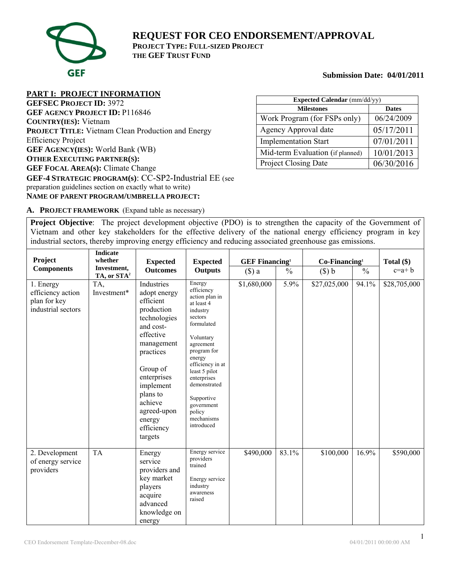

**REQUEST FOR CEO ENDORSEMENT/APPROVAL PROJECT TYPE: FULL-SIZED PROJECT THE GEF TRUST FUND**

**Submission Date: 04/01/2011** 

# **PART I: PROJECT INFORMATION**

**GEFSEC PROJECT ID:** 3972 **GEF AGENCY PROJECT ID:** P116846 **COUNTRY(IES):** Vietnam **PROJECT TITLE:** Vietnam Clean Production and Energy Efficiency Project **GEF AGENCY(IES):** World Bank (WB) **OTHER EXECUTING PARTNER(S): GEF FOCAL AREA(s):** Climate Change **GEF-4 STRATEGIC PROGRAM(s)**: CC-SP2-Industrial EE (see preparation guidelines section on exactly what to write) **NAME OF PARENT PROGRAM/UMBRELLA PROJECT:** 

| Expected Calendar (mm/dd/yy)     |              |  |  |  |  |
|----------------------------------|--------------|--|--|--|--|
| <b>Milestones</b>                | <b>Dates</b> |  |  |  |  |
| Work Program (for FSPs only)     | 06/24/2009   |  |  |  |  |
| Agency Approval date             | 05/17/2011   |  |  |  |  |
| <b>Implementation Start</b>      | 07/01/2011   |  |  |  |  |
| Mid-term Evaluation (if planned) | 10/01/2013   |  |  |  |  |
| <b>Project Closing Date</b>      | 06/30/2016   |  |  |  |  |

**A. PROJECT FRAMEWORK** (Expand table as necessary)

**Project Objective**: The project development objective (PDO) is to strengthen the capacity of the Government of Vietnam and other key stakeholders for the effective delivery of the national energy efficiency program in key industrial sectors, thereby improving energy efficiency and reducing associated greenhouse gas emissions.

|                                                                      | <b>Indicate</b>         |                                                                                                                                                                                                                                             |                                                                                                                                                                                                                                                                                    |                                   |               |                 |               |              |
|----------------------------------------------------------------------|-------------------------|---------------------------------------------------------------------------------------------------------------------------------------------------------------------------------------------------------------------------------------------|------------------------------------------------------------------------------------------------------------------------------------------------------------------------------------------------------------------------------------------------------------------------------------|-----------------------------------|---------------|-----------------|---------------|--------------|
| Project<br><b>Components</b>                                         | whether<br>Investment,  | <b>Expected</b>                                                                                                                                                                                                                             | <b>Expected</b>                                                                                                                                                                                                                                                                    | <b>GEF Financing</b> <sup>1</sup> |               | $Co-Financing1$ |               | Total $(\$)$ |
|                                                                      | TA, or STA <sup>2</sup> | <b>Outcomes</b>                                                                                                                                                                                                                             | <b>Outputs</b>                                                                                                                                                                                                                                                                     | () a                              | $\frac{0}{0}$ | $(\$) b$        | $\frac{0}{0}$ | $c=a+b$      |
| 1. Energy<br>efficiency action<br>plan for key<br>industrial sectors | TA,<br>Investment*      | Industries<br>adopt energy<br>efficient<br>production<br>technologies<br>and cost-<br>effective<br>management<br>practices<br>Group of<br>enterprises<br>implement<br>plans to<br>achieve<br>agreed-upon<br>energy<br>efficiency<br>targets | Energy<br>efficiency<br>action plan in<br>at least 4<br>industry<br>sectors<br>formulated<br>Voluntary<br>agreement<br>program for<br>energy<br>efficiency in at<br>least 5 pilot<br>enterprises<br>demonstrated<br>Supportive<br>government<br>policy<br>mechanisms<br>introduced | \$1,680,000                       | 5.9%          | \$27,025,000    | 94.1%         | \$28,705,000 |
| 2. Development<br>of energy service<br>providers                     | <b>TA</b>               | Energy<br>service<br>providers and<br>key market<br>players<br>acquire<br>advanced<br>knowledge on<br>energy                                                                                                                                | Energy service<br>providers<br>trained<br>Energy service<br>industry<br>awareness<br>raised                                                                                                                                                                                        | \$490,000                         | 83.1%         | \$100,000       | 16.9%         | \$590,000    |

1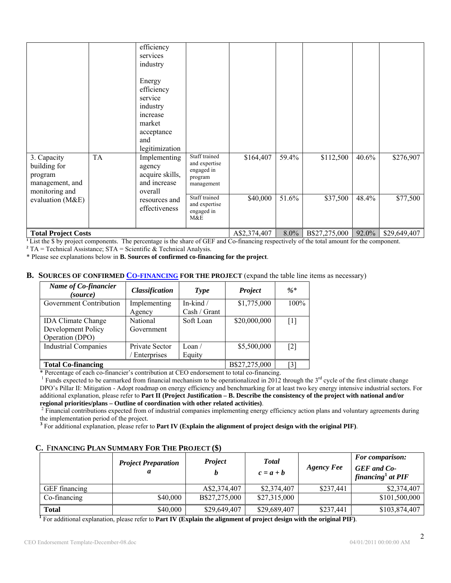| 3. Capacity<br>building for<br>program<br>management, and<br>monitoring and<br>evaluation (M&E) | <b>TA</b> | efficiency<br>services<br>industry<br>Energy<br>efficiency<br>service<br>industry<br>increase<br>market<br>acceptance<br>and<br>legitimization<br>Implementing<br>agency<br>acquire skills,<br>and increase<br>overall<br>resources and<br>effectiveness | Staff trained<br>and expertise<br>engaged in<br>program<br>management<br>Staff trained<br>and expertise<br>engaged in<br>M&E | \$164,407<br>\$40,000 | 59.4%<br>51.6% | \$112,500<br>\$37,500 | 40.6%<br>48.4% | \$276,907<br>\$77,500 |
|-------------------------------------------------------------------------------------------------|-----------|----------------------------------------------------------------------------------------------------------------------------------------------------------------------------------------------------------------------------------------------------------|------------------------------------------------------------------------------------------------------------------------------|-----------------------|----------------|-----------------------|----------------|-----------------------|
| <b>Total Project Costs</b>                                                                      |           |                                                                                                                                                                                                                                                          |                                                                                                                              | A\$2,374,407          | 8.0%           | B\$27,275,000         | 92.0%          | \$29,649,407          |

**<sup>1</sup>** List the \$ by project components. The percentage is the share of GEF and Co-financing respectively of the total amount for the component.

 $2^2$  TA = Technical Assistance; STA = Scientific  $\&$  Technical Analysis.

\* Please see explanations below in **B. Sources of confirmed co-financing for the project**.

#### **B.** SOURCES OF CONFIRMED **CO-FINANCING** FOR THE PROJECT (expand the table line items as necessary)

| Name of Co-financier<br>(source) | <b>Classification</b> | Type           | Project       | $\frac{0}{6}$ *   |
|----------------------------------|-----------------------|----------------|---------------|-------------------|
| Government Contribution          | Implementing          | In-kind /      | \$1,775,000   | $100\%$           |
|                                  | Agency                | Cash / Grant   |               |                   |
| <b>IDA Climate Change</b>        | <b>National</b>       | Soft Loan      | \$20,000,000  | $\lceil 1 \rceil$ |
| Development Policy               | Government            |                |               |                   |
| Operation (DPO)                  |                       |                |               |                   |
| <b>Industrial Companies</b>      | Private Sector        | $\text{Loan}/$ | \$5,500,000   | $\lceil 2 \rceil$ |
|                                  | Enterprises           | Equity         |               |                   |
| <b>Total Co-financing</b>        |                       |                | B\$27,275,000 | [3]               |

\* Percentage of each co-financier's contribution at CEO endorsement to total co-financing.

<sup>1</sup> Funds expected to be earmarked from financial mechanism to be operationalized in 2012 through the  $3<sup>rd</sup>$  cycle of the first climate change DPO's Pillar II: Mitigation - Adopt roadmap on energy efficiency and benchmarking for at least two key energy intensive industrial sectors. For additional explanation, please refer to **Part II (Project Justification – B. Describe the consistency of the project with national and/or regional priorities/plans – Outline of coordination with other related activities)**. 2

<sup>2</sup> Financial contributions expected from of industrial companies implementing energy efficiency action plans and voluntary agreements during the implementation period of the project. **<sup>3</sup>**

For additional explanation, please refer to **Part IV (Explain the alignment of project design with the original PIF)**.

#### **C.** F**INANCING PLAN SUMMARY FOR THE PROJECT (\$)**

|               | <b>Project Preparation</b><br>а | <b>Project</b> | <b>Total</b><br>$c = a + b$ | <b>Agency Fee</b> | <b>For comparison:</b><br><b>GEF</b> and Co-<br>financing <sup>1</sup> at $PIF$ |
|---------------|---------------------------------|----------------|-----------------------------|-------------------|---------------------------------------------------------------------------------|
| GEF financing |                                 | A\$2,374,407   | \$2,374,407                 | \$237,441         | \$2,374,407                                                                     |
| Co-financing  | \$40,000                        | B\$27,275,000  | \$27,315,000                |                   | \$101,500,000                                                                   |
| <b>Total</b>  | \$40,000                        | \$29,649,407   | \$29,689,407                | \$237,441         | \$103,874,407                                                                   |

**1** For additional explanation, please refer to **Part IV (Explain the alignment of project design with the original PIF)**.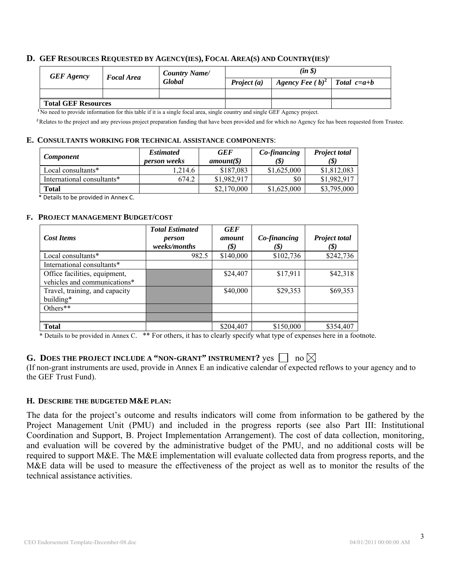#### **D. GEF RESOURCES REQUESTED BY AGENCY(IES), FOCAL AREA(S) AND COUNTRY(IES)1**

| <b>GEF</b> Agency          | <b>Focal Area</b> | <b>Country Name</b> | $(in \S)$     |                                |  |  |
|----------------------------|-------------------|---------------------|---------------|--------------------------------|--|--|
|                            |                   | <b>Global</b>       | Project $(a)$ | Agency Fee $(b)^2$ Total c=a+b |  |  |
|                            |                   |                     |               |                                |  |  |
| <b>Total GEF Resources</b> |                   |                     |               |                                |  |  |

**<sup>1</sup>**No need to provide information for this table if it is a single focal area, single country and single GEF Agency project.

<sup>2</sup>Relates to the project and any previous project preparation funding that have been provided and for which no Agency fee has been requested from Trustee.

#### **E. CONSULTANTS WORKING FOR TECHNICAL ASSISTANCE COMPONENTS**:

| <b>Component</b>           | <b>Estimated</b><br><i>person weeks</i> | <b>GEF</b><br>amount( <i>§</i> ) | Co-financing<br>(\$` | <b>Project total</b><br>(\$) |
|----------------------------|-----------------------------------------|----------------------------------|----------------------|------------------------------|
| Local consultants*         | 1.214.6                                 | \$187,083                        | \$1,625,000          | \$1,812,083                  |
| International consultants* | 674.2                                   | \$1,982,917                      | \$0                  | \$1,982,917                  |
| Total                      |                                         | \$2,170,000                      | \$1,625,000          | \$3,795,000                  |
|                            |                                         |                                  |                      |                              |

\* Details to be provided in Annex C.

#### **F. PROJECT MANAGEMENT BUDGET/COST**

|                                | <b>Total Estimated</b> | <b>GEF</b> |              |                      |
|--------------------------------|------------------------|------------|--------------|----------------------|
| <b>Cost Items</b>              | person                 | amount     | Co-financing | <b>Project total</b> |
|                                | weeks/months           | $(\$)$     | (\$)         | (\$)                 |
| Local consultants*             | 982.5                  | \$140,000  | \$102,736    | \$242,736            |
| International consultants*     |                        |            |              |                      |
| Office facilities, equipment,  |                        | \$24,407   | \$17,911     | \$42,318             |
| vehicles and communications*   |                        |            |              |                      |
| Travel, training, and capacity |                        | \$40,000   | \$29,353     | \$69,353             |
| building*                      |                        |            |              |                      |
| Others**                       |                        |            |              |                      |
|                                |                        |            |              |                      |
| <b>Total</b>                   |                        | \$204,407  | \$150,000    | \$354,407            |

\* Details to be provided in Annex C. \*\* For others, it has to clearly specify what type of expenses here in a footnote.

# **G.** DOES THE PROJECT INCLUDE A "NON-GRANT" INSTRUMENT?  $\gamma$ es  $\Box$  no  $\boxtimes$

(If non-grant instruments are used, provide in Annex E an indicative calendar of expected reflows to your agency and to the GEF Trust Fund).

### **H. DESCRIBE THE BUDGETED M&E PLAN:**

The data for the project's outcome and results indicators will come from information to be gathered by the Project Management Unit (PMU) and included in the progress reports (see also Part III: Institutional Coordination and Support, B. Project Implementation Arrangement). The cost of data collection, monitoring, and evaluation will be covered by the administrative budget of the PMU, and no additional costs will be required to support M&E. The M&E implementation will evaluate collected data from progress reports, and the M&E data will be used to measure the effectiveness of the project as well as to monitor the results of the technical assistance activities.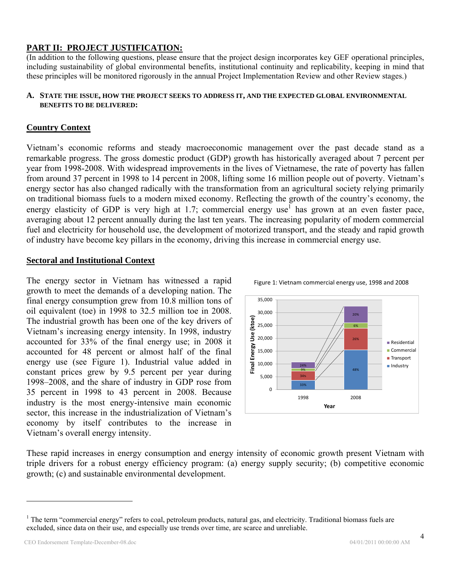# **PART II: PROJECT JUSTIFICATION:**

(In addition to the following questions, please ensure that the project design incorporates key GEF operational principles, including sustainability of global environmental benefits, institutional continuity and replicability, keeping in mind that these principles will be monitored rigorously in the annual Project Implementation Review and other Review stages.)

#### **A. STATE THE ISSUE, HOW THE PROJECT SEEKS TO ADDRESS IT, AND THE EXPECTED GLOBAL ENVIRONMENTAL BENEFITS TO BE DELIVERED:**

# **Country Context**

Vietnam's economic reforms and steady macroeconomic management over the past decade stand as a remarkable progress. The gross domestic product (GDP) growth has historically averaged about 7 percent per year from 1998-2008. With widespread improvements in the lives of Vietnamese, the rate of poverty has fallen from around 37 percent in 1998 to 14 percent in 2008, lifting some 16 million people out of poverty. Vietnam's energy sector has also changed radically with the transformation from an agricultural society relying primarily on traditional biomass fuels to a modern mixed economy. Reflecting the growth of the country's economy, the energy elasticity of GDP is very high at 1.7; commercial energy use<sup>1</sup> has grown at an even faster pace, averaging about 12 percent annually during the last ten years. The increasing popularity of modern commercial fuel and electricity for household use, the development of motorized transport, and the steady and rapid growth of industry have become key pillars in the economy, driving this increase in commercial energy use.

### **Sectoral and Institutional Context**

The energy sector in Vietnam has witnessed a rapid growth to meet the demands of a developing nation. The final energy consumption grew from 10.8 million tons of oil equivalent (toe) in 1998 to 32.5 million toe in 2008. The industrial growth has been one of the key drivers of Vietnam's increasing energy intensity. In 1998, industry accounted for 33% of the final energy use; in 2008 it accounted for 48 percent or almost half of the final energy use (see Figure 1). Industrial value added in constant prices grew by 9.5 percent per year during 1998–2008, and the share of industry in GDP rose from 35 percent in 1998 to 43 percent in 2008. Because industry is the most energy-intensive main economic sector, this increase in the industrialization of Vietnam's economy by itself contributes to the increase in Vietnam's overall energy intensity.



Figure 1: Vietnam commercial energy use, 1998 and 2008



These rapid increases in energy consumption and energy intensity of economic growth present Vietnam with triple drivers for a robust energy efficiency program: (a) energy supply security; (b) competitive economic growth; (c) and sustainable environmental development.

<sup>&</sup>lt;sup>1</sup> The term "commercial energy" refers to coal, petroleum products, natural gas, and electricity. Traditional biomass fuels are excluded, since data on their use, and especially use trends over time, are scarce and unreliable.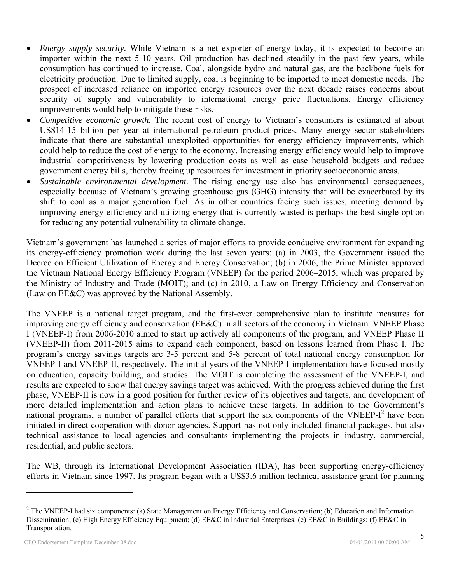- *Energy supply security.* While Vietnam is a net exporter of energy today, it is expected to become an importer within the next 5-10 years. Oil production has declined steadily in the past few years, while consumption has continued to increase. Coal, alongside hydro and natural gas, are the backbone fuels for electricity production. Due to limited supply, coal is beginning to be imported to meet domestic needs. The prospect of increased reliance on imported energy resources over the next decade raises concerns about security of supply and vulnerability to international energy price fluctuations. Energy efficiency improvements would help to mitigate these risks.
- *Competitive economic growth.* The recent cost of energy to Vietnam's consumers is estimated at about US\$14-15 billion per year at international petroleum product prices. Many energy sector stakeholders indicate that there are substantial unexploited opportunities for energy efficiency improvements, which could help to reduce the cost of energy to the economy. Increasing energy efficiency would help to improve industrial competitiveness by lowering production costs as well as ease household budgets and reduce government energy bills, thereby freeing up resources for investment in priority socioeconomic areas.
- *Sustainable environmental development.* The rising energy use also has environmental consequences, especially because of Vietnam's growing greenhouse gas (GHG) intensity that will be exacerbated by its shift to coal as a major generation fuel. As in other countries facing such issues, meeting demand by improving energy efficiency and utilizing energy that is currently wasted is perhaps the best single option for reducing any potential vulnerability to climate change.

Vietnam's government has launched a series of major efforts to provide conducive environment for expanding its energy-efficiency promotion work during the last seven years: (a) in 2003, the Government issued the Decree on Efficient Utilization of Energy and Energy Conservation; (b) in 2006, the Prime Minister approved the Vietnam National Energy Efficiency Program (VNEEP) for the period 2006–2015, which was prepared by the Ministry of Industry and Trade (MOIT); and (c) in 2010, a Law on Energy Efficiency and Conservation (Law on EE&C) was approved by the National Assembly.

The VNEEP is a national target program, and the first-ever comprehensive plan to institute measures for improving energy efficiency and conservation (EE&C) in all sectors of the economy in Vietnam. VNEEP Phase I (VNEEP-I) from 2006-2010 aimed to start up actively all components of the program, and VNEEP Phase II (VNEEP-II) from 2011-2015 aims to expand each component, based on lessons learned from Phase I. The program's energy savings targets are 3-5 percent and 5-8 percent of total national energy consumption for VNEEP-I and VNEEP-II, respectively. The initial years of the VNEEP-I implementation have focused mostly on education, capacity building, and studies. The MOIT is completing the assessment of the VNEEP-I, and results are expected to show that energy savings target was achieved. With the progress achieved during the first phase, VNEEP-II is now in a good position for further review of its objectives and targets, and development of more detailed implementation and action plans to achieve these targets. In addition to the Government's national programs, a number of parallel efforts that support the six components of the VNEEP- $I<sup>2</sup>$  have been initiated in direct cooperation with donor agencies. Support has not only included financial packages, but also technical assistance to local agencies and consultants implementing the projects in industry, commercial, residential, and public sectors.

The WB, through its International Development Association (IDA), has been supporting energy-efficiency efforts in Vietnam since 1997. Its program began with a US\$3.6 million technical assistance grant for planning

<u>.</u>

 $2^2$  The VNEEP-I had six components: (a) State Management on Energy Efficiency and Conservation; (b) Education and Information Dissemination; (c) High Energy Efficiency Equipment; (d) EE&C in Industrial Enterprises; (e) EE&C in Buildings; (f) EE&C in Transportation.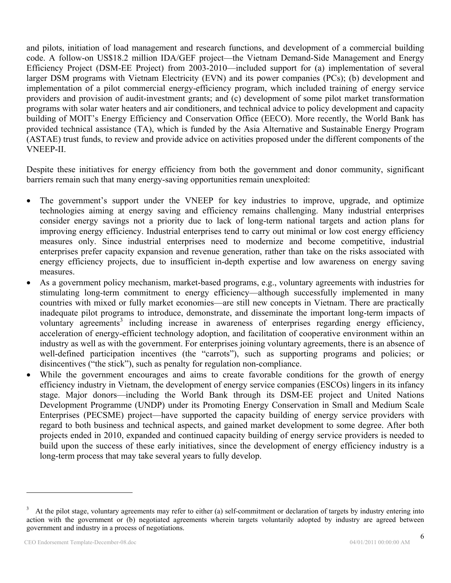and pilots, initiation of load management and research functions, and development of a commercial building code. A follow-on US\$18.2 million IDA/GEF project—the Vietnam Demand-Side Management and Energy Efficiency Project (DSM-EE Project) from 2003-2010—included support for (a) implementation of several larger DSM programs with Vietnam Electricity (EVN) and its power companies (PCs); (b) development and implementation of a pilot commercial energy-efficiency program, which included training of energy service providers and provision of audit-investment grants; and (c) development of some pilot market transformation programs with solar water heaters and air conditioners, and technical advice to policy development and capacity building of MOIT's Energy Efficiency and Conservation Office (EECO). More recently, the World Bank has provided technical assistance (TA), which is funded by the Asia Alternative and Sustainable Energy Program (ASTAE) trust funds, to review and provide advice on activities proposed under the different components of the VNEEP-II.

Despite these initiatives for energy efficiency from both the government and donor community, significant barriers remain such that many energy-saving opportunities remain unexploited:

- The government's support under the VNEEP for key industries to improve, upgrade, and optimize technologies aiming at energy saving and efficiency remains challenging. Many industrial enterprises consider energy savings not a priority due to lack of long-term national targets and action plans for improving energy efficiency. Industrial enterprises tend to carry out minimal or low cost energy efficiency measures only. Since industrial enterprises need to modernize and become competitive, industrial enterprises prefer capacity expansion and revenue generation, rather than take on the risks associated with energy efficiency projects, due to insufficient in-depth expertise and low awareness on energy saving measures.
- As a government policy mechanism, market-based programs, e.g., voluntary agreements with industries for stimulating long-term commitment to energy efficiency—although successfully implemented in many countries with mixed or fully market economies—are still new concepts in Vietnam. There are practically inadequate pilot programs to introduce, demonstrate, and disseminate the important long-term impacts of voluntary agreements<sup>3</sup> including increase in awareness of enterprises regarding energy efficiency, acceleration of energy-efficient technology adoption, and facilitation of cooperative environment within an industry as well as with the government. For enterprises joining voluntary agreements, there is an absence of well-defined participation incentives (the "carrots"), such as supporting programs and policies; or disincentives ("the stick"), such as penalty for regulation non-compliance.
- While the government encourages and aims to create favorable conditions for the growth of energy efficiency industry in Vietnam, the development of energy service companies (ESCOs) lingers in its infancy stage. Major donors—including the World Bank through its DSM-EE project and United Nations Development Programme (UNDP) under its Promoting Energy Conservation in Small and Medium Scale Enterprises (PECSME) project—have supported the capacity building of energy service providers with regard to both business and technical aspects, and gained market development to some degree. After both projects ended in 2010, expanded and continued capacity building of energy service providers is needed to build upon the success of these early initiatives, since the development of energy efficiency industry is a long-term process that may take several years to fully develop.

<sup>3</sup> At the pilot stage, voluntary agreements may refer to either (a) self-commitment or declaration of targets by industry entering into action with the government or (b) negotiated agreements wherein targets voluntarily adopted by industry are agreed between government and industry in a process of negotiations.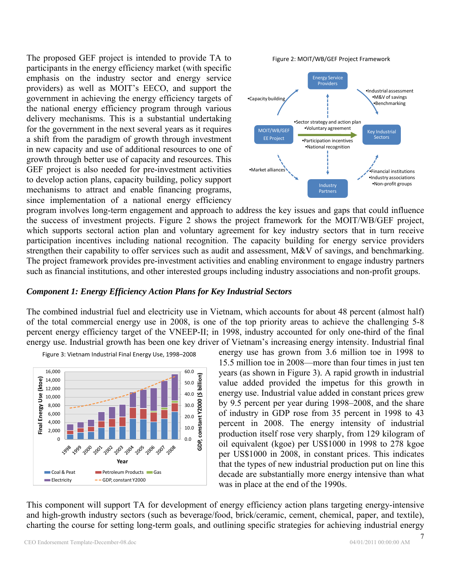The proposed GEF project is intended to provide TA to participants in the energy efficiency market (with specific emphasis on the industry sector and energy service providers) as well as MOIT's EECO, and support the government in achieving the energy efficiency targets of the national energy efficiency program through various delivery mechanisms. This is a substantial undertaking for the government in the next several years as it requires a shift from the paradigm of growth through investment in new capacity and use of additional resources to one of growth through better use of capacity and resources. This GEF project is also needed for pre-investment activities to develop action plans, capacity building, policy support mechanisms to attract and enable financing programs, since implementation of a national energy efficiency



program involves long-term engagement and approach to address the key issues and gaps that could influence the success of investment projects. Figure 2 shows the project framework for the MOIT/WB/GEF project, which supports sectoral action plan and voluntary agreement for key industry sectors that in turn receive participation incentives including national recognition. The capacity building for energy service providers strengthen their capability to offer services such as audit and assessment, M&V of savings, and benchmarking. The project framework provides pre-investment activities and enabling environment to engage industry partners such as financial institutions, and other interested groups including industry associations and non-profit groups.

### *Component 1: Energy Efficiency Action Plans for Key Industrial Sectors*

The combined industrial fuel and electricity use in Vietnam, which accounts for about 48 percent (almost half) of the total commercial energy use in 2008, is one of the top priority areas to achieve the challenging 5-8 percent energy efficiency target of the VNEEP-II; in 1998, industry accounted for only one-third of the final energy use. Industrial growth has been one key driver of Vietnam's increasing energy intensity. Industrial final



Figure 3: Vietnam Industrial Final Energy Use, 1998–2008

energy use has grown from 3.6 million toe in 1998 to 15.5 million toe in 2008—more than four times in just ten years (as shown in Figure 3). A rapid growth in industrial value added provided the impetus for this growth in energy use. Industrial value added in constant prices grew by 9.5 percent per year during 1998–2008, and the share of industry in GDP rose from 35 percent in 1998 to 43 percent in 2008. The energy intensity of industrial production itself rose very sharply, from 129 kilogram of oil equivalent (kgoe) per US\$1000 in 1998 to 278 kgoe per US\$1000 in 2008, in constant prices. This indicates that the types of new industrial production put on line this decade are substantially more energy intensive than what was in place at the end of the 1990s.

This component will support TA for development of energy efficiency action plans targeting energy-intensive and high-growth industry sectors (such as beverage/food, brick/ceramic, cement, chemical, paper, and textile), charting the course for setting long-term goals, and outlining specific strategies for achieving industrial energy

7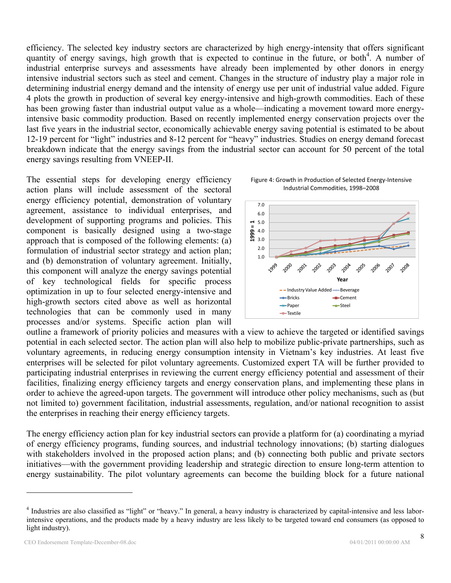efficiency. The selected key industry sectors are characterized by high energy-intensity that offers significant quantity of energy savings, high growth that is expected to continue in the future, or both<sup>4</sup>. A number of industrial enterprise surveys and assessments have already been implemented by other donors in energy intensive industrial sectors such as steel and cement. Changes in the structure of industry play a major role in determining industrial energy demand and the intensity of energy use per unit of industrial value added. Figure 4 plots the growth in production of several key energy-intensive and high-growth commodities. Each of these has been growing faster than industrial output value as a whole—indicating a movement toward more energyintensive basic commodity production. Based on recently implemented energy conservation projects over the last five years in the industrial sector, economically achievable energy saving potential is estimated to be about 12-19 percent for "light" industries and 8-12 percent for "heavy" industries. Studies on energy demand forecast breakdown indicate that the energy savings from the industrial sector can account for 50 percent of the total energy savings resulting from VNEEP-II.

The essential steps for developing energy efficiency action plans will include assessment of the sectoral energy efficiency potential, demonstration of voluntary agreement, assistance to individual enterprises, and development of supporting programs and policies. This component is basically designed using a two-stage approach that is composed of the following elements: (a) formulation of industrial sector strategy and action plan; and (b) demonstration of voluntary agreement. Initially, this component will analyze the energy savings potential of key technological fields for specific process optimization in up to four selected energy-intensive and high-growth sectors cited above as well as horizontal technologies that can be commonly used in many processes and/or systems. Specific action plan will





outline a framework of priority policies and measures with a view to achieve the targeted or identified savings potential in each selected sector. The action plan will also help to mobilize public-private partnerships, such as voluntary agreements, in reducing energy consumption intensity in Vietnam's key industries. At least five enterprises will be selected for pilot voluntary agreements. Customized expert TA will be further provided to participating industrial enterprises in reviewing the current energy efficiency potential and assessment of their facilities, finalizing energy efficiency targets and energy conservation plans, and implementing these plans in order to achieve the agreed-upon targets. The government will introduce other policy mechanisms, such as (but not limited to) government facilitation, industrial assessments, regulation, and/or national recognition to assist the enterprises in reaching their energy efficiency targets.

The energy efficiency action plan for key industrial sectors can provide a platform for (a) coordinating a myriad of energy efficiency programs, funding sources, and industrial technology innovations; (b) starting dialogues with stakeholders involved in the proposed action plans; and (b) connecting both public and private sectors initiatives—with the government providing leadership and strategic direction to ensure long-term attention to energy sustainability. The pilot voluntary agreements can become the building block for a future national

<sup>&</sup>lt;sup>4</sup> Industries are also classified as "light" or "heavy." In general, a heavy industry is characterized by capital-intensive and less laborintensive operations, and the products made by a heavy industry are less likely to be targeted toward end consumers (as opposed to light industry).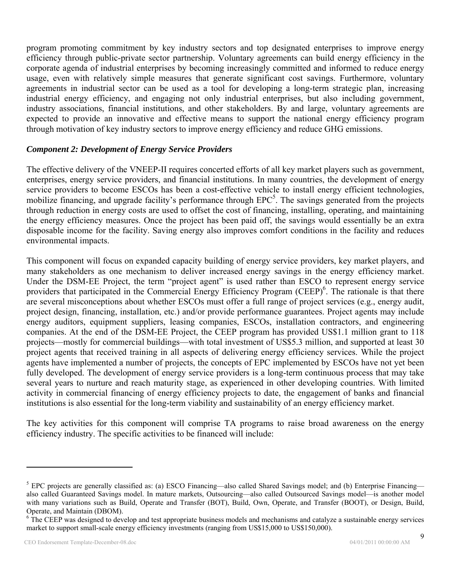program promoting commitment by key industry sectors and top designated enterprises to improve energy efficiency through public-private sector partnership. Voluntary agreements can build energy efficiency in the corporate agenda of industrial enterprises by becoming increasingly committed and informed to reduce energy usage, even with relatively simple measures that generate significant cost savings. Furthermore, voluntary agreements in industrial sector can be used as a tool for developing a long-term strategic plan, increasing industrial energy efficiency, and engaging not only industrial enterprises, but also including government, industry associations, financial institutions, and other stakeholders. By and large, voluntary agreements are expected to provide an innovative and effective means to support the national energy efficiency program through motivation of key industry sectors to improve energy efficiency and reduce GHG emissions.

# *Component 2: Development of Energy Service Providers*

The effective delivery of the VNEEP-II requires concerted efforts of all key market players such as government, enterprises, energy service providers, and financial institutions. In many countries, the development of energy service providers to become ESCOs has been a cost-effective vehicle to install energy efficient technologies, mobilize financing, and upgrade facility's performance through  $EPC<sup>5</sup>$ . The savings generated from the projects through reduction in energy costs are used to offset the cost of financing, installing, operating, and maintaining the energy efficiency measures. Once the project has been paid off, the savings would essentially be an extra disposable income for the facility. Saving energy also improves comfort conditions in the facility and reduces environmental impacts.

This component will focus on expanded capacity building of energy service providers, key market players, and many stakeholders as one mechanism to deliver increased energy savings in the energy efficiency market. Under the DSM-EE Project, the term "project agent" is used rather than ESCO to represent energy service providers that participated in the Commercial Energy Efficiency Program (CEEP)<sup>6</sup>. The rationale is that there are several misconceptions about whether ESCOs must offer a full range of project services (e.g., energy audit, project design, financing, installation, etc.) and/or provide performance guarantees. Project agents may include energy auditors, equipment suppliers, leasing companies, ESCOs, installation contractors, and engineering companies. At the end of the DSM-EE Project, the CEEP program has provided US\$1.1 million grant to 118 projects—mostly for commercial buildings—with total investment of US\$5.3 million, and supported at least 30 project agents that received training in all aspects of delivering energy efficiency services. While the project agents have implemented a number of projects, the concepts of EPC implemented by ESCOs have not yet been fully developed. The development of energy service providers is a long-term continuous process that may take several years to nurture and reach maturity stage, as experienced in other developing countries. With limited activity in commercial financing of energy efficiency projects to date, the engagement of banks and financial institutions is also essential for the long-term viability and sustainability of an energy efficiency market.

The key activities for this component will comprise TA programs to raise broad awareness on the energy efficiency industry. The specific activities to be financed will include:

<u>.</u>

<sup>&</sup>lt;sup>5</sup> EPC projects are generally classified as: (a) ESCO Financing—also called Shared Savings model; and (b) Enterprise Financing also called Guaranteed Savings model. In mature markets, Outsourcing—also called Outsourced Savings model—is another model with many variations such as Build, Operate and Transfer (BOT), Build, Own, Operate, and Transfer (BOOT), or Design, Build, Operate, and Maintain (DBOM).

<sup>&</sup>lt;sup>6</sup> The CEEP was designed to develop and test appropriate business models and mechanisms and catalyze a sustainable energy services market to support small-scale energy efficiency investments (ranging from US\$15,000 to US\$150,000).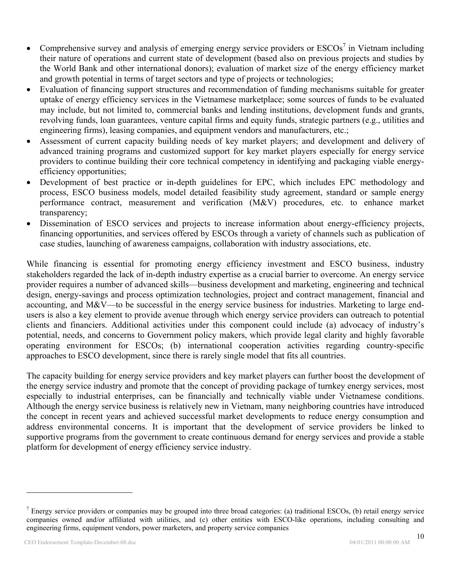- Comprehensive survey and analysis of emerging energy service providers or  $ESCOs<sup>7</sup>$  in Vietnam including their nature of operations and current state of development (based also on previous projects and studies by the World Bank and other international donors); evaluation of market size of the energy efficiency market and growth potential in terms of target sectors and type of projects or technologies;
- Evaluation of financing support structures and recommendation of funding mechanisms suitable for greater uptake of energy efficiency services in the Vietnamese marketplace; some sources of funds to be evaluated may include, but not limited to, commercial banks and lending institutions, development funds and grants, revolving funds, loan guarantees, venture capital firms and equity funds, strategic partners (e.g., utilities and engineering firms), leasing companies, and equipment vendors and manufacturers, etc.;
- Assessment of current capacity building needs of key market players; and development and delivery of advanced training programs and customized support for key market players especially for energy service providers to continue building their core technical competency in identifying and packaging viable energyefficiency opportunities;
- Development of best practice or in-depth guidelines for EPC, which includes EPC methodology and process, ESCO business models, model detailed feasibility study agreement, standard or sample energy performance contract, measurement and verification (M&V) procedures, etc. to enhance market transparency;
- Dissemination of ESCO services and projects to increase information about energy-efficiency projects, financing opportunities, and services offered by ESCOs through a variety of channels such as publication of case studies, launching of awareness campaigns, collaboration with industry associations, etc.

While financing is essential for promoting energy efficiency investment and ESCO business, industry stakeholders regarded the lack of in-depth industry expertise as a crucial barrier to overcome. An energy service provider requires a number of advanced skills—business development and marketing, engineering and technical design, energy-savings and process optimization technologies, project and contract management, financial and accounting, and M&V—to be successful in the energy service business for industries. Marketing to large endusers is also a key element to provide avenue through which energy service providers can outreach to potential clients and financiers. Additional activities under this component could include (a) advocacy of industry's potential, needs, and concerns to Government policy makers, which provide legal clarity and highly favorable operating environment for ESCOs; (b) international cooperation activities regarding country-specific approaches to ESCO development, since there is rarely single model that fits all countries.

The capacity building for energy service providers and key market players can further boost the development of the energy service industry and promote that the concept of providing package of turnkey energy services, most especially to industrial enterprises, can be financially and technically viable under Vietnamese conditions. Although the energy service business is relatively new in Vietnam, many neighboring countries have introduced the concept in recent years and achieved successful market developments to reduce energy consumption and address environmental concerns. It is important that the development of service providers be linked to supportive programs from the government to create continuous demand for energy services and provide a stable platform for development of energy efficiency service industry.

<sup>&</sup>lt;sup>7</sup> Energy service providers or companies may be grouped into three broad categories: (a) traditional ESCOs, (b) retail energy service companies owned and/or affiliated with utilities, and (c) other entities with ESCO-like operations, including consulting and engineering firms, equipment vendors, power marketers, and property service companies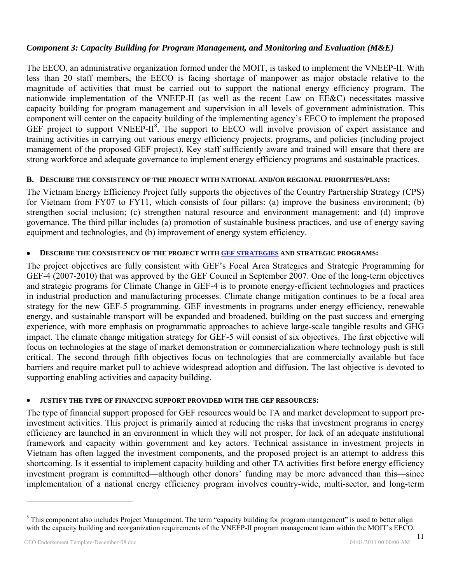# *Component 3: Capacity Building for Program Management, and Monitoring and Evaluation (M&E)*

The EECO, an administrative organization formed under the MOIT, is tasked to implement the VNEEP-II. With less than 20 staff members, the EECO is facing shortage of manpower as major obstacle relative to the magnitude of activities that must be carried out to support the national energy efficiency program. The nationwide implementation of the VNEEP-II (as well as the recent Law on EE&C) necessitates massive capacity building for program management and supervision in all levels of government administration. This component will center on the capacity building of the implementing agency's EECO to implement the proposed GEF project to support VNEEP-II<sup>8</sup>. The support to EECO will involve provision of expert assistance and training activities in carrying out various energy efficiency projects, programs, and policies (including project management of the proposed GEF project). Key staff sufficiently aware and trained will ensure that there are strong workforce and adequate governance to implement energy efficiency programs and sustainable practices.

# **B. DESCRIBE THE CONSISTENCY OF THE PROJECT WITH NATIONAL AND/OR REGIONAL PRIORITIES/PLANS:**

The Vietnam Energy Efficiency Project fully supports the objectives of the Country Partnership Strategy (CPS) for Vietnam from FY07 to FY11, which consists of four pillars: (a) improve the business environment; (b) strengthen social inclusion; (c) strengthen natural resource and environment management; and (d) improve governance. The third pillar includes (a) promotion of sustainable business practices, and use of energy saving equipment and technologies, and (b) improvement of energy system efficiency.

# **DESCRIBE THE CONSISTENCY OF THE PROJECT WITH GEF STRATEGIES AND STRATEGIC PROGRAMS:**

The project objectives are fully consistent with GEF's Focal Area Strategies and Strategic Programming for GEF-4 (2007-2010) that was approved by the GEF Council in September 2007. One of the long-term objectives and strategic programs for Climate Change in GEF-4 is to promote energy-efficient technologies and practices in industrial production and manufacturing processes. Climate change mitigation continues to be a focal area strategy for the new GEF-5 programming. GEF investments in programs under energy efficiency, renewable energy, and sustainable transport will be expanded and broadened, building on the past success and emerging experience, with more emphasis on programmatic approaches to achieve large-scale tangible results and GHG impact. The climate change mitigation strategy for GEF-5 will consist of six objectives. The first objective will focus on technologies at the stage of market demonstration or commercialization where technology push is still critical. The second through fifth objectives focus on technologies that are commercially available but face barriers and require market pull to achieve widespread adoption and diffusion. The last objective is devoted to supporting enabling activities and capacity building.

# **JUSTIFY THE TYPE OF FINANCING SUPPORT PROVIDED WITH THE GEF RESOURCES:**

The type of financial support proposed for GEF resources would be TA and market development to support preinvestment activities. This project is primarily aimed at reducing the risks that investment programs in energy efficiency are launched in an environment in which they will not prosper, for lack of an adequate institutional framework and capacity within government and key actors. Technical assistance in investment projects in Vietnam has often lagged the investment components, and the proposed project is an attempt to address this shortcoming. Is it essential to implement capacity building and other TA activities first before energy efficiency investment program is committed—although other donors' funding may be more advanced than this—since implementation of a national energy efficiency program involves country-wide, multi-sector, and long-term

1

<sup>&</sup>lt;sup>8</sup> This component also includes Project Management. The term "capacity building for program management" is used to better align with the capacity building and reorganization requirements of the VNEEP-II program management team within the MOIT's EECO.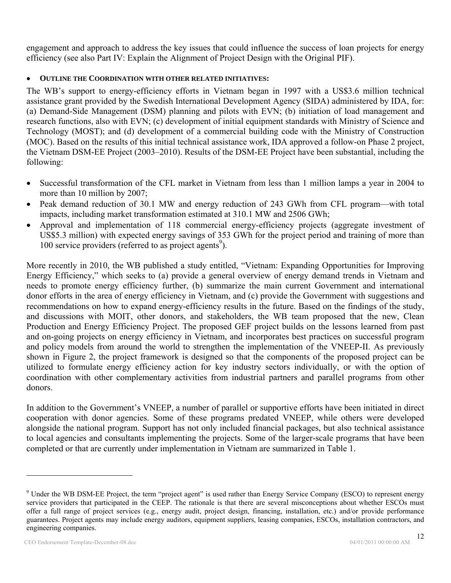engagement and approach to address the key issues that could influence the success of loan projects for energy efficiency (see also Part IV: Explain the Alignment of Project Design with the Original PIF).

# **OUTLINE THE COORDINATION WITH OTHER RELATED INITIATIVES:**

The WB's support to energy-efficiency efforts in Vietnam began in 1997 with a US\$3.6 million technical assistance grant provided by the Swedish International Development Agency (SIDA) administered by IDA, for: (a) Demand-Side Management (DSM) planning and pilots with EVN; (b) initiation of load management and research functions, also with EVN; (c) development of initial equipment standards with Ministry of Science and Technology (MOST); and (d) development of a commercial building code with the Ministry of Construction (MOC). Based on the results of this initial technical assistance work, IDA approved a follow-on Phase 2 project, the Vietnam DSM-EE Project (2003–2010). Results of the DSM-EE Project have been substantial, including the following:

- Successful transformation of the CFL market in Vietnam from less than 1 million lamps a year in 2004 to more than 10 million by 2007;
- Peak demand reduction of 30.1 MW and energy reduction of 243 GWh from CFL program—with total impacts, including market transformation estimated at 310.1 MW and 2506 GWh;
- Approval and implementation of 118 commercial energy-efficiency projects (aggregate investment of US\$5.3 million) with expected energy savings of 353 GWh for the project period and training of more than 100 service providers (referred to as project agents<sup>9</sup>).

More recently in 2010, the WB published a study entitled, "Vietnam: Expanding Opportunities for Improving Energy Efficiency," which seeks to (a) provide a general overview of energy demand trends in Vietnam and needs to promote energy efficiency further, (b) summarize the main current Government and international donor efforts in the area of energy efficiency in Vietnam, and (c) provide the Government with suggestions and recommendations on how to expand energy-efficiency results in the future. Based on the findings of the study, and discussions with MOIT, other donors, and stakeholders, the WB team proposed that the new, Clean Production and Energy Efficiency Project. The proposed GEF project builds on the lessons learned from past and on-going projects on energy efficiency in Vietnam, and incorporates best practices on successful program and policy models from around the world to strengthen the implementation of the VNEEP-II. As previously shown in Figure 2, the project framework is designed so that the components of the proposed project can be utilized to formulate energy efficiency action for key industry sectors individually, or with the option of coordination with other complementary activities from industrial partners and parallel programs from other donors.

In addition to the Government's VNEEP, a number of parallel or supportive efforts have been initiated in direct cooperation with donor agencies. Some of these programs predated VNEEP, while others were developed alongside the national program. Support has not only included financial packages, but also technical assistance to local agencies and consultants implementing the projects. Some of the larger-scale programs that have been completed or that are currently under implementation in Vietnam are summarized in Table 1.

<sup>&</sup>lt;sup>9</sup> Under the WB DSM-EE Project, the term "project agent" is used rather than Energy Service Company (ESCO) to represent energy service providers that participated in the CEEP. The rationale is that there are several misconceptions about whether ESCOs must offer a full range of project services (e.g., energy audit, project design, financing, installation, etc.) and/or provide performance guarantees. Project agents may include energy auditors, equipment suppliers, leasing companies, ESCOs, installation contractors, and engineering companies.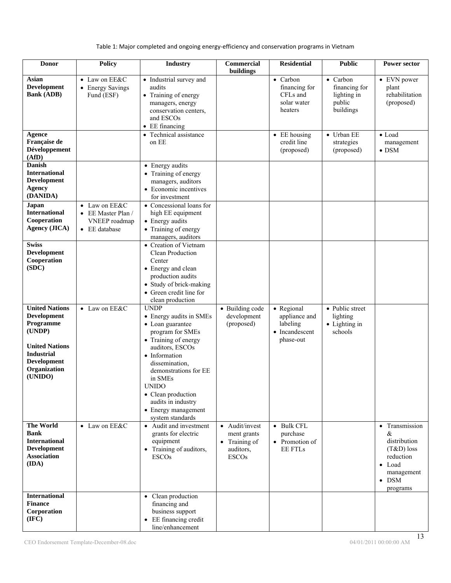## Table 1: Major completed and ongoing energy‐efficiency and conservation programs in Vietnam

| <b>Donor</b>                                                                                                                                        | <b>Policy</b>                                                         | <b>Industry</b>                                                                                                                                                                                                                                                                                         | <b>Commercial</b><br>buildings                                              | <b>Residential</b>                                                     | <b>Public</b>                                                   | <b>Power sector</b>                                                                                                           |
|-----------------------------------------------------------------------------------------------------------------------------------------------------|-----------------------------------------------------------------------|---------------------------------------------------------------------------------------------------------------------------------------------------------------------------------------------------------------------------------------------------------------------------------------------------------|-----------------------------------------------------------------------------|------------------------------------------------------------------------|-----------------------------------------------------------------|-------------------------------------------------------------------------------------------------------------------------------|
| Asian<br>Development<br><b>Bank (ADB)</b>                                                                                                           | • Law on EE&C<br>• Energy Savings<br>Fund (ESF)                       | • Industrial survey and<br>audits<br>• Training of energy<br>managers, energy<br>conservation centers,<br>and ESCOs<br>• EE financing                                                                                                                                                                   |                                                                             | • Carbon<br>financing for<br>CFLs and<br>solar water<br>heaters        | • Carbon<br>financing for<br>lighting in<br>public<br>buildings | • EVN power<br>plant<br>rehabilitation<br>(proposed)                                                                          |
| Agence<br>Française de<br>Développement<br>(AfD)                                                                                                    |                                                                       | • Technical assistance<br>on EE                                                                                                                                                                                                                                                                         |                                                                             | $\bullet$ EE housing<br>credit line<br>(proposed)                      | • Urban EE<br>strategies<br>(proposed)                          | $\bullet$ Load<br>management<br>$\bullet$ DSM                                                                                 |
| Danish<br><b>International</b><br>Development<br><b>Agency</b><br>(DANIDA)                                                                          |                                                                       | • Energy audits<br>• Training of energy<br>managers, auditors<br>• Economic incentives<br>for investment                                                                                                                                                                                                |                                                                             |                                                                        |                                                                 |                                                                                                                               |
| Japan<br><b>International</b><br>Cooperation<br><b>Agency (JICA)</b>                                                                                | • Law on EE&C<br>• EE Master Plan /<br>VNEEP roadmap<br>• EE database | • Concessional loans for<br>high EE equipment<br>• Energy audits<br>• Training of energy<br>managers, auditors                                                                                                                                                                                          |                                                                             |                                                                        |                                                                 |                                                                                                                               |
| <b>Swiss</b><br>Development<br>Cooperation<br>(SDC)                                                                                                 |                                                                       | • Creation of Vietnam<br><b>Clean Production</b><br>Center<br>• Energy and clean<br>production audits<br>• Study of brick-making<br>• Green credit line for<br>clean production                                                                                                                         |                                                                             |                                                                        |                                                                 |                                                                                                                               |
| <b>United Nations</b><br>Development<br>Programme<br>(UNDP)<br><b>United Nations</b><br><b>Industrial</b><br>Development<br>Organization<br>(UNIDO) | • Law on EE&C                                                         | <b>UNDP</b><br>• Energy audits in SMEs<br>• Loan guarantee<br>program for SMEs<br>• Training of energy<br>auditors, ESCOs<br>• Information<br>dissemination,<br>demonstrations for EE<br>in SMEs<br><b>UNIDO</b><br>• Clean production<br>audits in industry<br>• Energy management<br>system standards | • Building code<br>development<br>(proposed)                                | • Regional<br>appliance and<br>labeling<br>• Incandescent<br>phase-out | • Public street<br>lighting<br>$\bullet$ Lighting in<br>schools |                                                                                                                               |
| <b>The World</b><br><b>Bank</b><br><b>International</b><br><b>Development</b><br><b>Association</b><br>(IDA)                                        | $\bullet$ Law on EE&C                                                 | • Audit and investment<br>grants for electric<br>equipment<br>• Training of auditors,<br><b>ESCOs</b>                                                                                                                                                                                                   | • Audit/invest<br>ment grants<br>• Training of<br>auditors,<br><b>ESCOs</b> | • Bulk CFL<br>purchase<br>• Promotion of<br><b>EE FTLs</b>             |                                                                 | • Transmission<br>&<br>distribution<br>$(T&D)$ loss<br>reduction<br>$\bullet$ Load<br>management<br>$\bullet$ DSM<br>programs |
| <b>International</b><br><b>Finance</b><br>Corporation<br>(IFC)                                                                                      |                                                                       | • Clean production<br>financing and<br>business support<br>• EE financing credit<br>line/enhancement                                                                                                                                                                                                    |                                                                             |                                                                        |                                                                 |                                                                                                                               |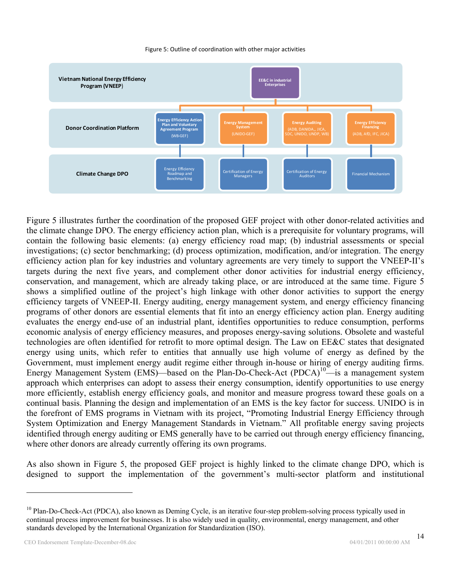#### Figure 5: Outline of coordination with other major activities



Figure 5 illustrates further the coordination of the proposed GEF project with other donor-related activities and the climate change DPO. The energy efficiency action plan, which is a prerequisite for voluntary programs, will contain the following basic elements: (a) energy efficiency road map; (b) industrial assessments or special investigations; (c) sector benchmarking; (d) process optimization, modification, and/or integration. The energy efficiency action plan for key industries and voluntary agreements are very timely to support the VNEEP-II's targets during the next five years, and complement other donor activities for industrial energy efficiency, conservation, and management, which are already taking place, or are introduced at the same time. Figure 5 shows a simplified outline of the project's high linkage with other donor activities to support the energy efficiency targets of VNEEP-II. Energy auditing, energy management system, and energy efficiency financing programs of other donors are essential elements that fit into an energy efficiency action plan. Energy auditing evaluates the energy end-use of an industrial plant, identifies opportunities to reduce consumption, performs economic analysis of energy efficiency measures, and proposes energy-saving solutions. Obsolete and wasteful technologies are often identified for retrofit to more optimal design. The Law on EE&C states that designated energy using units, which refer to entities that annually use high volume of energy as defined by the Government, must implement energy audit regime either through in-house or hiring of energy auditing firms. Energy Management System (EMS)—based on the Plan-Do-Check-Act (PDCA)<sup>10</sup>—is a management system approach which enterprises can adopt to assess their energy consumption, identify opportunities to use energy more efficiently, establish energy efficiency goals, and monitor and measure progress toward these goals on a continual basis. Planning the design and implementation of an EMS is the key factor for success. UNIDO is in the forefront of EMS programs in Vietnam with its project, "Promoting Industrial Energy Efficiency through System Optimization and Energy Management Standards in Vietnam." All profitable energy saving projects identified through energy auditing or EMS generally have to be carried out through energy efficiency financing, where other donors are already currently offering its own programs.

As also shown in Figure 5, the proposed GEF project is highly linked to the climate change DPO, which is designed to support the implementation of the government's multi-sector platform and institutional

<u>.</u>

<sup>&</sup>lt;sup>10</sup> Plan-Do-Check-Act (PDCA), also known as Deming Cycle, is an iterative four-step problem-solving process typically used in continual process improvement for businesses. It is also widely used in quality, environmental, energy management, and other standards developed by the International Organization for Standardization (ISO).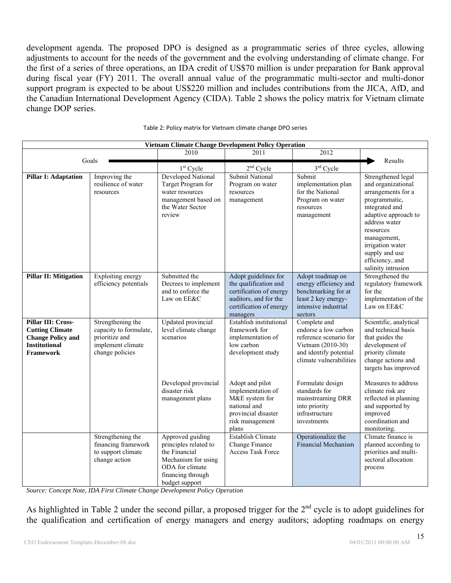development agenda. The proposed DPO is designed as a programmatic series of three cycles, allowing adjustments to account for the needs of the government and the evolving understanding of climate change. For the first of a series of three operations, an IDA credit of US\$70 million is under preparation for Bank approval during fiscal year (FY) 2011. The overall annual value of the programmatic multi-sector and multi-donor support program is expected to be about US\$220 million and includes contributions from the JICA, AfD, and the Canadian International Development Agency (CIDA). Table 2 shows the policy matrix for Vietnam climate change DOP series.

| <b>Vietnam Climate Change Development Policy Operation</b>                                                           |                                                                                                       |                                                                                                                                             |                                                                                                                                          |                                                                                                                                          |                                                                                                                                                                                                                                                       |  |
|----------------------------------------------------------------------------------------------------------------------|-------------------------------------------------------------------------------------------------------|---------------------------------------------------------------------------------------------------------------------------------------------|------------------------------------------------------------------------------------------------------------------------------------------|------------------------------------------------------------------------------------------------------------------------------------------|-------------------------------------------------------------------------------------------------------------------------------------------------------------------------------------------------------------------------------------------------------|--|
|                                                                                                                      |                                                                                                       | 2010                                                                                                                                        | 2011                                                                                                                                     | 2012                                                                                                                                     |                                                                                                                                                                                                                                                       |  |
|                                                                                                                      | Goals                                                                                                 | $1st$ Cycle                                                                                                                                 | $2nd$ Cycle                                                                                                                              | $3rd$ Cycle                                                                                                                              | Results                                                                                                                                                                                                                                               |  |
| <b>Pillar I: Adaptation</b>                                                                                          | Improving the<br>resilience of water<br>resources                                                     | Developed National<br>Target Program for<br>water resources<br>management based on<br>the Water Sector<br>review                            | <b>Submit National</b><br>Program on water<br>resources<br>management                                                                    | Submit<br>implementation plan<br>for the National<br>Program on water<br>resources<br>management                                         | Strengthened legal<br>and organizational<br>arrangements for a<br>programmatic,<br>integrated and<br>adaptive approach to<br>address water<br>resources<br>management,<br>irrigation water<br>supply and use<br>efficiency, and<br>salinity intrusion |  |
| <b>Pillar II: Mitigation</b>                                                                                         | Exploiting energy<br>efficiency potentials                                                            | Submitted the<br>Decrees to implement<br>and to enforce the<br>Law on EE&C                                                                  | Adopt guidelines for<br>the qualification and<br>certification of energy<br>auditors, and for the<br>certification of energy<br>managers | Adopt roadmap on<br>energy efficiency and<br>benchmarking for at<br>least 2 key energy-<br>intensive industrial<br>sectors               | Strengthened the<br>regulatory framework<br>for the<br>implementation of the<br>Law on EE&C                                                                                                                                                           |  |
| Pillar III: Cross-<br><b>Cutting Climate</b><br><b>Change Policy and</b><br><b>Institutional</b><br><b>Framework</b> | Strengthening the<br>capacity to formulate,<br>prioritize and<br>implement climate<br>change policies | <b>Updated</b> provincial<br>level climate change<br>scenarios                                                                              | Establish institutional<br>framework for<br>implementation of<br>low carbon<br>development study                                         | Complete and<br>endorse a low carbon<br>reference scenario for<br>Vietnam (2010-30)<br>and identify potential<br>climate vulnerabilities | Scientific, analytical<br>and technical basis<br>that guides the<br>development of<br>priority climate<br>change actions and<br>targets has improved                                                                                                  |  |
|                                                                                                                      |                                                                                                       | Developed provincial<br>disaster risk<br>management plans                                                                                   | Adopt and pilot<br>implementation of<br>M&E system for<br>national and<br>provincial disaster<br>risk management<br>plans                | Formulate design<br>standards for<br>mainstreaming DRR<br>into priority<br>infrastructure<br>investments                                 | Measures to address<br>climate risk are<br>reflected in planning<br>and supported by<br>improved<br>coordination and<br>monitoring.                                                                                                                   |  |
|                                                                                                                      | Strengthening the<br>financing framework<br>to support climate<br>change action                       | Approved guiding<br>principles related to<br>the Financial<br>Mechanism for using<br>ODA for climate<br>financing through<br>budget support | <b>Establish Climate</b><br>Change Finance<br><b>Access Task Force</b>                                                                   | Operationalize the<br><b>Financial Mechanism</b>                                                                                         | Climate finance is<br>planned according to<br>priorities and multi-<br>sectoral allocation<br>process                                                                                                                                                 |  |

| Table 2: Policy matrix for Vietnam climate change DPO series |  |  |  |
|--------------------------------------------------------------|--|--|--|
|                                                              |  |  |  |

*Source: Concept Note, IDA First Climate Change Development Policy Operation* 

As highlighted in Table 2 under the second pillar, a proposed trigger for the  $2<sup>nd</sup>$  cycle is to adopt guidelines for the qualification and certification of energy managers and energy auditors; adopting roadmaps on energy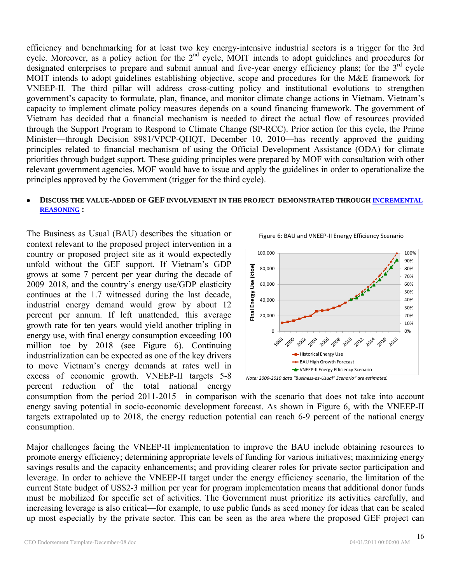efficiency and benchmarking for at least two key energy-intensive industrial sectors is a trigger for the 3rd cycle. Moreover, as a policy action for the 2<sup>nd</sup> cycle, MOIT intends to adopt guidelines and procedures for designated enterprises to prepare and submit annual and five-year energy efficiency plans; for the 3<sup>rd</sup> cycle MOIT intends to adopt guidelines establishing objective, scope and procedures for the M&E framework for VNEEP-II. The third pillar will address cross-cutting policy and institutional evolutions to strengthen government's capacity to formulate, plan, finance, and monitor climate change actions in Vietnam. Vietnam's capacity to implement climate policy measures depends on a sound financing framework. The government of Vietnam has decided that a financial mechanism is needed to direct the actual flow of resources provided through the Support Program to Respond to Climate Change (SP-RCC). Prior action for this cycle, the Prime Minister—through Decision 8981/VPCP-QHQT, December 10, 2010—has recently approved the guiding principles related to financial mechanism of using the Official Development Assistance (ODA) for climate priorities through budget support. These guiding principles were prepared by MOF with consultation with other relevant government agencies. MOF would have to issue and apply the guidelines in order to operationalize the principles approved by the Government (trigger for the third cycle).

### **DISCUSS THE VALUE-ADDED OF GEF INVOLVEMENT IN THE PROJECT DEMONSTRATED THROUGH INCREMENTAL REASONING :**

The Business as Usual (BAU) describes the situation or context relevant to the proposed project intervention in a country or proposed project site as it would expectedly unfold without the GEF support. If Vietnam's GDP grows at some 7 percent per year during the decade of 2009–2018, and the country's energy use/GDP elasticity continues at the 1.7 witnessed during the last decade, industrial energy demand would grow by about 12 percent per annum. If left unattended, this average growth rate for ten years would yield another tripling in energy use, with final energy consumption exceeding 100 million toe by 2018 (see Figure 6). Continuing industrialization can be expected as one of the key drivers to move Vietnam's energy demands at rates well in excess of economic growth. VNEEP-II targets 5-8 percent reduction of the total national energy



Figure 6: BAU and VNEEP‐II Energy Efficiency Scenario

*Note: 2009‐2010 data "Business‐as‐Usual" Scenario" are estimated.*

consumption from the period 2011-2015—in comparison with the scenario that does not take into account energy saving potential in socio-economic development forecast. As shown in Figure 6, with the VNEEP-II targets extrapolated up to 2018, the energy reduction potential can reach 6-9 percent of the national energy consumption.

Major challenges facing the VNEEP-II implementation to improve the BAU include obtaining resources to promote energy efficiency; determining appropriate levels of funding for various initiatives; maximizing energy savings results and the capacity enhancements; and providing clearer roles for private sector participation and leverage. In order to achieve the VNEEP-II target under the energy efficiency scenario, the limitation of the current State budget of US\$2-3 million per year for program implementation means that additional donor funds must be mobilized for specific set of activities. The Government must prioritize its activities carefully, and increasing leverage is also critical—for example, to use public funds as seed money for ideas that can be scaled up most especially by the private sector. This can be seen as the area where the proposed GEF project can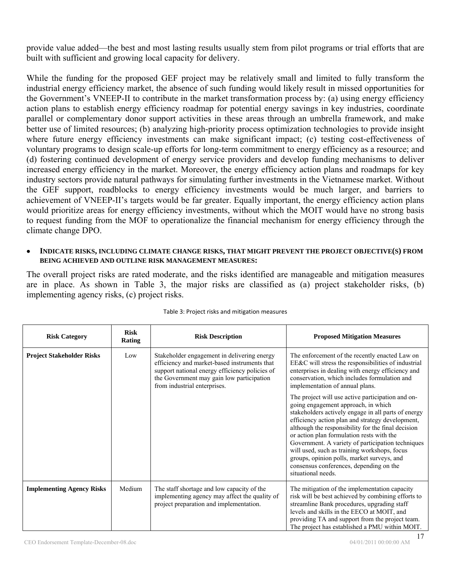provide value added—the best and most lasting results usually stem from pilot programs or trial efforts that are built with sufficient and growing local capacity for delivery.

While the funding for the proposed GEF project may be relatively small and limited to fully transform the industrial energy efficiency market, the absence of such funding would likely result in missed opportunities for the Government's VNEEP-II to contribute in the market transformation process by: (a) using energy efficiency action plans to establish energy efficiency roadmap for potential energy savings in key industries, coordinate parallel or complementary donor support activities in these areas through an umbrella framework, and make better use of limited resources; (b) analyzing high-priority process optimization technologies to provide insight where future energy efficiency investments can make significant impact; (c) testing cost-effectiveness of voluntary programs to design scale-up efforts for long-term commitment to energy efficiency as a resource; and (d) fostering continued development of energy service providers and develop funding mechanisms to deliver increased energy efficiency in the market. Moreover, the energy efficiency action plans and roadmaps for key industry sectors provide natural pathways for simulating further investments in the Vietnamese market. Without the GEF support, roadblocks to energy efficiency investments would be much larger, and barriers to achievement of VNEEP-II's targets would be far greater. Equally important, the energy efficiency action plans would prioritize areas for energy efficiency investments, without which the MOIT would have no strong basis to request funding from the MOF to operationalize the financial mechanism for energy efficiency through the climate change DPO.

#### **INDICATE RISKS, INCLUDING CLIMATE CHANGE RISKS, THAT MIGHT PREVENT THE PROJECT OBJECTIVE(S) FROM BEING ACHIEVED AND OUTLINE RISK MANAGEMENT MEASURES:**

The overall project risks are rated moderate, and the risks identified are manageable and mitigation measures are in place. As shown in Table 3, the major risks are classified as (a) project stakeholder risks, (b) implementing agency risks, (c) project risks.

| <b>Risk Category</b>             | <b>Risk</b><br><b>Rating</b> | <b>Risk Description</b>                                                                                                                                                                                                    | <b>Proposed Mitigation Measures</b>                                                                                                                                                                                                                                                                                                                                                                                                                                                                                        |
|----------------------------------|------------------------------|----------------------------------------------------------------------------------------------------------------------------------------------------------------------------------------------------------------------------|----------------------------------------------------------------------------------------------------------------------------------------------------------------------------------------------------------------------------------------------------------------------------------------------------------------------------------------------------------------------------------------------------------------------------------------------------------------------------------------------------------------------------|
| <b>Project Stakeholder Risks</b> | Low                          | Stakeholder engagement in delivering energy<br>efficiency and market-based instruments that<br>support national energy efficiency policies of<br>the Government may gain low participation<br>from industrial enterprises. | The enforcement of the recently enacted Law on<br>EE&C will stress the responsibilities of industrial<br>enterprises in dealing with energy efficiency and<br>conservation, which includes formulation and<br>implementation of annual plans.                                                                                                                                                                                                                                                                              |
|                                  |                              |                                                                                                                                                                                                                            | The project will use active participation and on-<br>going engagement approach, in which<br>stakeholders actively engage in all parts of energy<br>efficiency action plan and strategy development,<br>although the responsibility for the final decision<br>or action plan formulation rests with the<br>Government. A variety of participation techniques<br>will used, such as training workshops, focus<br>groups, opinion polls, market surveys, and<br>consensus conferences, depending on the<br>situational needs. |
| <b>Implementing Agency Risks</b> | Medium                       | The staff shortage and low capacity of the<br>implementing agency may affect the quality of<br>project preparation and implementation.                                                                                     | The mitigation of the implementation capacity<br>risk will be best achieved by combining efforts to<br>streamline Bank procedures, upgrading staff<br>levels and skills in the EECO at MOIT, and<br>providing TA and support from the project team.<br>The project has established a PMU within MOIT.                                                                                                                                                                                                                      |

#### Table 3: Project risks and mitigation measures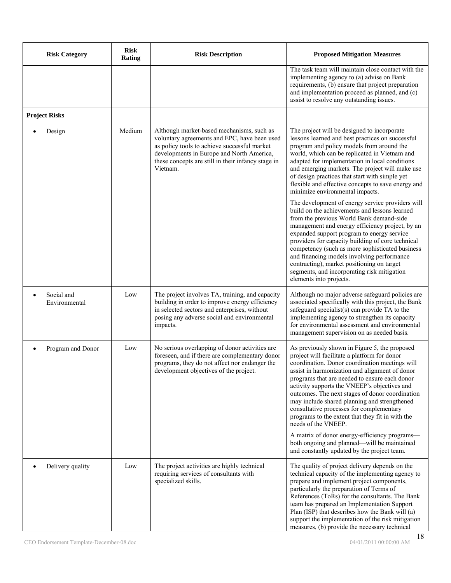| <b>Risk Category</b>                     | <b>Risk</b><br><b>Rating</b> | <b>Risk Description</b>                                                                                                                                                                                                                                  | <b>Proposed Mitigation Measures</b>                                                                                                                                                                                                                                                                                                                                                                                                                                                                                          |
|------------------------------------------|------------------------------|----------------------------------------------------------------------------------------------------------------------------------------------------------------------------------------------------------------------------------------------------------|------------------------------------------------------------------------------------------------------------------------------------------------------------------------------------------------------------------------------------------------------------------------------------------------------------------------------------------------------------------------------------------------------------------------------------------------------------------------------------------------------------------------------|
|                                          |                              |                                                                                                                                                                                                                                                          | The task team will maintain close contact with the<br>implementing agency to (a) advise on Bank<br>requirements, (b) ensure that project preparation<br>and implementation proceed as planned, and (c)<br>assist to resolve any outstanding issues.                                                                                                                                                                                                                                                                          |
| <b>Project Risks</b>                     |                              |                                                                                                                                                                                                                                                          |                                                                                                                                                                                                                                                                                                                                                                                                                                                                                                                              |
| Design                                   | Medium                       | Although market-based mechanisms, such as<br>voluntary agreements and EPC, have been used<br>as policy tools to achieve successful market<br>developments in Europe and North America,<br>these concepts are still in their infancy stage in<br>Vietnam. | The project will be designed to incorporate<br>lessons learned and best practices on successful<br>program and policy models from around the<br>world, which can be replicated in Vietnam and<br>adapted for implementation in local conditions<br>and emerging markets. The project will make use<br>of design practices that start with simple yet<br>flexible and effective concepts to save energy and<br>minimize environmental impacts.                                                                                |
|                                          |                              |                                                                                                                                                                                                                                                          | The development of energy service providers will<br>build on the achievements and lessons learned<br>from the previous World Bank demand-side<br>management and energy efficiency project, by an<br>expanded support program to energy service<br>providers for capacity building of core technical<br>competency (such as more sophisticated business<br>and financing models involving performance<br>contracting), market positioning on target<br>segments, and incorporating risk mitigation<br>elements into projects. |
| Social and<br>$\bullet$<br>Environmental | Low                          | The project involves TA, training, and capacity<br>building in order to improve energy efficiency<br>in selected sectors and enterprises, without<br>posing any adverse social and environmental<br>impacts.                                             | Although no major adverse safeguard policies are<br>associated specifically with this project, the Bank<br>safeguard specialist(s) can provide TA to the<br>implementing agency to strengthen its capacity<br>for environmental assessment and environmental<br>management supervision on as needed basis.                                                                                                                                                                                                                   |
| Program and Donor                        | Low                          | No serious overlapping of donor activities are<br>foreseen, and if there are complementary donor<br>programs, they do not affect nor endanger the<br>development objectives of the project.                                                              | As previously shown in Figure 5, the proposed<br>project will facilitate a platform for donor<br>coordination. Donor coordination meetings will<br>assist in harmonization and alignment of donor<br>programs that are needed to ensure each donor<br>activity supports the VNEEP's objectives and<br>outcomes. The next stages of donor coordination<br>may include shared planning and strengthened<br>consultative processes for complementary<br>programs to the extent that they fit in with the<br>needs of the VNEEP. |
|                                          |                              |                                                                                                                                                                                                                                                          | A matrix of donor energy-efficiency programs-<br>both ongoing and planned—will be maintained<br>and constantly updated by the project team.                                                                                                                                                                                                                                                                                                                                                                                  |
| Delivery quality<br>$\bullet$            | Low                          | The project activities are highly technical<br>requiring services of consultants with<br>specialized skills.                                                                                                                                             | The quality of project delivery depends on the<br>technical capacity of the implementing agency to<br>prepare and implement project components,<br>particularly the preparation of Terms of<br>References (ToRs) for the consultants. The Bank<br>team has prepared an Implementation Support<br>Plan (ISP) that describes how the Bank will (a)<br>support the implementation of the risk mitigation<br>measures, (b) provide the necessary technical                                                                       |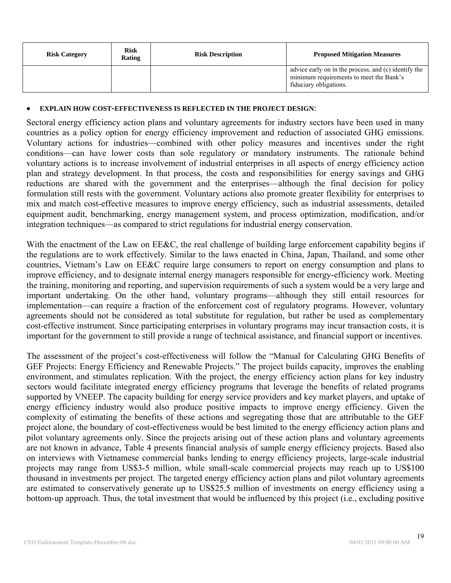| <b>Risk Category</b> | <b>Risk</b><br><b>Rating</b> | <b>Risk Description</b> | <b>Proposed Mitigation Measures</b>                                                                                       |
|----------------------|------------------------------|-------------------------|---------------------------------------------------------------------------------------------------------------------------|
|                      |                              |                         | advice early on in the process, and (c) identify the<br>minimum requirements to meet the Bank's<br>fiduciary obligations. |

#### **EXPLAIN HOW COST-EFFECTIVENESS IS REFLECTED IN THE PROJECT DESIGN**:

Sectoral energy efficiency action plans and voluntary agreements for industry sectors have been used in many countries as a policy option for energy efficiency improvement and reduction of associated GHG emissions. Voluntary actions for industries—combined with other policy measures and incentives under the right conditions—can have lower costs than sole regulatory or mandatory instruments. The rationale behind voluntary actions is to increase involvement of industrial enterprises in all aspects of energy efficiency action plan and strategy development. In that process, the costs and responsibilities for energy savings and GHG reductions are shared with the government and the enterprises—although the final decision for policy formulation still rests with the government. Voluntary actions also promote greater flexibility for enterprises to mix and match cost-effective measures to improve energy efficiency, such as industrial assessments, detailed equipment audit, benchmarking, energy management system, and process optimization, modification, and/or integration techniques—as compared to strict regulations for industrial energy conservation.

With the enactment of the Law on EE&C, the real challenge of building large enforcement capability begins if the regulations are to work effectively. Similar to the laws enacted in China, Japan, Thailand, and some other countries, Vietnam's Law on EE&C require large consumers to report on energy consumption and plans to improve efficiency, and to designate internal energy managers responsible for energy-efficiency work. Meeting the training, monitoring and reporting, and supervision requirements of such a system would be a very large and important undertaking. On the other hand, voluntary programs—although they still entail resources for implementation—can require a fraction of the enforcement cost of regulatory programs. However, voluntary agreements should not be considered as total substitute for regulation, but rather be used as complementary cost-effective instrument. Since participating enterprises in voluntary programs may incur transaction costs, it is important for the government to still provide a range of technical assistance, and financial support or incentives.

The assessment of the project's cost-effectiveness will follow the "Manual for Calculating GHG Benefits of GEF Projects: Energy Efficiency and Renewable Projects." The project builds capacity, improves the enabling environment, and stimulates replication. With the project, the energy efficiency action plans for key industry sectors would facilitate integrated energy efficiency programs that leverage the benefits of related programs supported by VNEEP. The capacity building for energy service providers and key market players, and uptake of energy efficiency industry would also produce positive impacts to improve energy efficiency. Given the complexity of estimating the benefits of these actions and segregating those that are attributable to the GEF project alone, the boundary of cost-effectiveness would be best limited to the energy efficiency action plans and pilot voluntary agreements only. Since the projects arising out of these action plans and voluntary agreements are not known in advance, Table 4 presents financial analysis of sample energy efficiency projects. Based also on interviews with Vietnamese commercial banks lending to energy efficiency projects, large-scale industrial projects may range from US\$3-5 million, while small-scale commercial projects may reach up to US\$100 thousand in investments per project. The targeted energy efficiency action plans and pilot voluntary agreements are estimated to conservatively generate up to US\$25.5 million of investments on energy efficiency using a bottom-up approach. Thus, the total investment that would be influenced by this project (i.e., excluding positive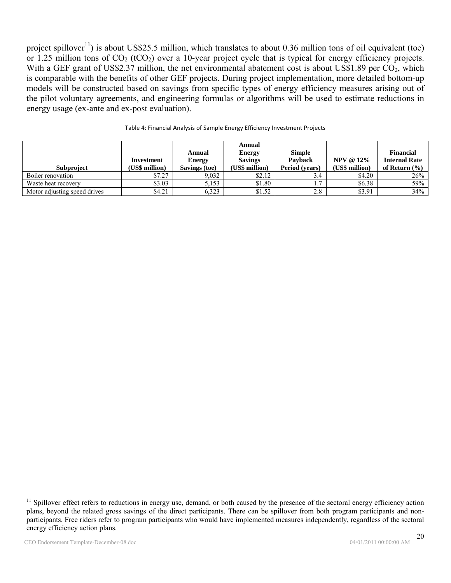project spillover<sup>11</sup>) is about US\$25.5 million, which translates to about 0.36 million tons of oil equivalent (toe) or 1.25 million tons of  $CO_2$  (tCO<sub>2</sub>) over a 10-year project cycle that is typical for energy efficiency projects. With a GEF grant of US\$2.37 million, the net environmental abatement cost is about US\$1.89 per CO<sub>2</sub>, which is comparable with the benefits of other GEF projects. During project implementation, more detailed bottom-up models will be constructed based on savings from specific types of energy efficiency measures arising out of the pilot voluntary agreements, and engineering formulas or algorithms will be used to estimate reductions in energy usage (ex-ante and ex-post evaluation).

|                              |                |               | Annual         |                |                  |                      |
|------------------------------|----------------|---------------|----------------|----------------|------------------|----------------------|
|                              |                | Annual        | <b>Energy</b>  | <b>Simple</b>  |                  | <b>Financial</b>     |
|                              | Investment     | <b>Energy</b> | <b>Savings</b> | <b>Payback</b> | <b>NPV @ 12%</b> | <b>Internal Rate</b> |
| <b>Subproject</b>            | (US\$ million) | Savings (toe) | (US\$ million) | Period (vears) | (US\$ million)   | of Return $(\% )$    |
| Boiler renovation            | \$7.27         | 9.032         | \$2.12         |                | \$4.20           | 26%                  |
| Waste heat recovery          | \$3.03         | 5.153         | \$1.80         |                | \$6.38           | 59%                  |
| Motor adjusting speed drives | \$4.21         | 6,323         | \$1.52         | 2.8            | \$3.91           | 34%                  |

#### Table 4: Financial Analysis of Sample Energy Efficiency Investment Projects

<sup>&</sup>lt;sup>11</sup> Spillover effect refers to reductions in energy use, demand, or both caused by the presence of the sectoral energy efficiency action plans, beyond the related gross savings of the direct participants. There can be spillover from both program participants and nonparticipants. Free riders refer to program participants who would have implemented measures independently, regardless of the sectoral energy efficiency action plans.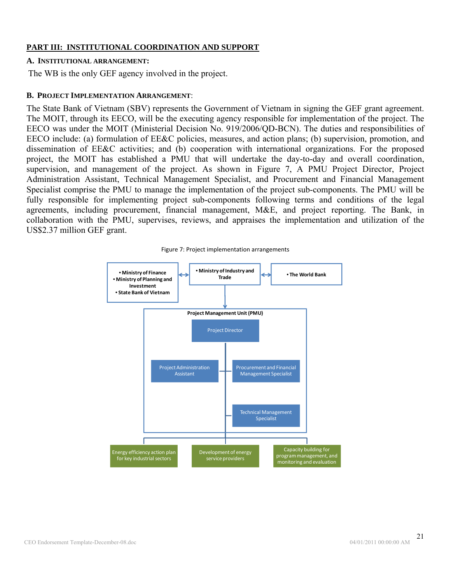### **PART III: INSTITUTIONAL COORDINATION AND SUPPORT**

#### **A. INSTITUTIONAL ARRANGEMENT:**

The WB is the only GEF agency involved in the project.

### **B. PROJECT IMPLEMENTATION ARRANGEMENT**:

The State Bank of Vietnam (SBV) represents the Government of Vietnam in signing the GEF grant agreement. The MOIT, through its EECO, will be the executing agency responsible for implementation of the project. The EECO was under the MOIT (Ministerial Decision No. 919/2006/QD-BCN). The duties and responsibilities of EECO include: (a) formulation of EE&C policies, measures, and action plans; (b) supervision, promotion, and dissemination of EE&C activities; and (b) cooperation with international organizations. For the proposed project, the MOIT has established a PMU that will undertake the day-to-day and overall coordination, supervision, and management of the project. As shown in Figure 7, A PMU Project Director, Project Administration Assistant, Technical Management Specialist, and Procurement and Financial Management Specialist comprise the PMU to manage the implementation of the project sub-components. The PMU will be fully responsible for implementing project sub-components following terms and conditions of the legal agreements, including procurement, financial management, M&E, and project reporting. The Bank, in collaboration with the PMU, supervises, reviews, and appraises the implementation and utilization of the US\$2.37 million GEF grant.



Figure 7: Project implementation arrangements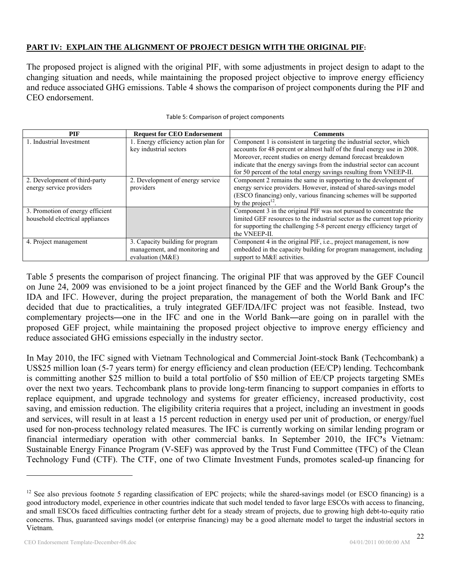## **PART IV: EXPLAIN THE ALIGNMENT OF PROJECT DESIGN WITH THE ORIGINAL PIF:**

The proposed project is aligned with the original PIF, with some adjustments in project design to adapt to the changing situation and needs, while maintaining the proposed project objective to improve energy efficiency and reduce associated GHG emissions. Table 4 shows the comparison of project components during the PIF and CEO endorsement.

| PIF                              | <b>Request for CEO Endorsement</b>   | Comments                                                                   |
|----------------------------------|--------------------------------------|----------------------------------------------------------------------------|
| 1. Industrial Investment         | 1. Energy efficiency action plan for | Component 1 is consistent in targeting the industrial sector, which        |
|                                  | key industrial sectors               | accounts for 48 percent or almost half of the final energy use in 2008.    |
|                                  |                                      | Moreover, recent studies on energy demand forecast breakdown               |
|                                  |                                      | indicate that the energy savings from the industrial sector can account    |
|                                  |                                      | for 50 percent of the total energy savings resulting from VNEEP-II.        |
| 2. Development of third-party    | 2. Development of energy service     | Component 2 remains the same in supporting to the development of           |
| energy service providers         | providers                            | energy service providers. However, instead of shared-savings model         |
|                                  |                                      | (ESCO financing) only, various financing schemes will be supported         |
|                                  |                                      | by the project <sup>12</sup> .                                             |
| 3. Promotion of energy efficient |                                      | Component 3 in the original PIF was not pursued to concentrate the         |
| household electrical appliances  |                                      | limited GEF resources to the industrial sector as the current top priority |
|                                  |                                      | for supporting the challenging 5-8 percent energy efficiency target of     |
|                                  |                                      | the VNEEP-II.                                                              |
| 4. Project management            | 3. Capacity building for program     | Component 4 in the original PIF, i.e., project management, is now          |
|                                  | management, and monitoring and       | embedded in the capacity building for program management, including        |
|                                  | evaluation $(M&E)$                   | support to M&E activities.                                                 |

Table 5: Comparison of project components

Table 5 presents the comparison of project financing. The original PIF that was approved by the GEF Council on June 24, 2009 was envisioned to be a joint project financed by the GEF and the World Bank Group**'**s the IDA and IFC. However, during the project preparation, the management of both the World Bank and IFC decided that due to practicalities, a truly integrated GEF/IDA/IFC project was not feasible. Instead, two complementary projects**—**one in the IFC and one in the World Bank**—**are going on in parallel with the proposed GEF project, while maintaining the proposed project objective to improve energy efficiency and reduce associated GHG emissions especially in the industry sector.

In May 2010, the IFC signed with Vietnam Technological and Commercial Joint-stock Bank (Techcombank) a US\$25 million loan (5-7 years term) for energy efficiency and clean production (EE/CP) lending. Techcombank is committing another \$25 million to build a total portfolio of \$50 million of EE/CP projects targeting SMEs over the next two years. Techcombank plans to provide long-term financing to support companies in efforts to replace equipment, and upgrade technology and systems for greater efficiency, increased productivity, cost saving, and emission reduction. The eligibility criteria requires that a project, including an investment in goods and services, will result in at least a 15 percent reduction in energy used per unit of production, or energy/fuel used for non-process technology related measures. The IFC is currently working on similar lending program or financial intermediary operation with other commercial banks. In September 2010, the IFC**'**s Vietnam: Sustainable Energy Finance Program (V-SEF) was approved by the Trust Fund Committee (TFC) of the Clean Technology Fund (CTF). The CTF, one of two Climate Investment Funds, promotes scaled-up financing for

 $12$  See also previous footnote 5 regarding classification of EPC projects; while the shared-savings model (or ESCO financing) is a good introductory model, experience in other countries indicate that such model tended to favor large ESCOs with access to financing, and small ESCOs faced difficulties contracting further debt for a steady stream of projects, due to growing high debt-to-equity ratio concerns. Thus, guaranteed savings model (or enterprise financing) may be a good alternate model to target the industrial sectors in Vietnam.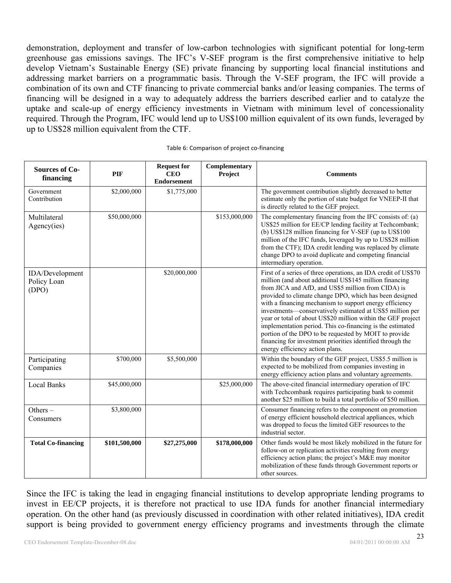demonstration, deployment and transfer of low-carbon technologies with significant potential for long-term greenhouse gas emissions savings. The IFC's V-SEF program is the first comprehensive initiative to help develop Vietnam's Sustainable Energy (SE) private financing by supporting local financial institutions and addressing market barriers on a programmatic basis. Through the V-SEF program, the IFC will provide a combination of its own and CTF financing to private commercial banks and/or leasing companies. The terms of financing will be designed in a way to adequately address the barriers described earlier and to catalyze the uptake and scale-up of energy efficiency investments in Vietnam with minimum level of concessionality required. Through the Program, IFC would lend up to US\$100 million equivalent of its own funds, leveraged by up to US\$28 million equivalent from the CTF.

| <b>Sources of Co-</b><br>financing      | <b>PIF</b>    | <b>Request for</b><br><b>CEO</b><br><b>Endorsement</b> | Complementary<br>Project | <b>Comments</b>                                                                                                                                                                                                                                                                                                                                                                                                                                                                                                                                                                                                                                           |
|-----------------------------------------|---------------|--------------------------------------------------------|--------------------------|-----------------------------------------------------------------------------------------------------------------------------------------------------------------------------------------------------------------------------------------------------------------------------------------------------------------------------------------------------------------------------------------------------------------------------------------------------------------------------------------------------------------------------------------------------------------------------------------------------------------------------------------------------------|
| Government<br>Contribution              | \$2,000,000   | \$1,775,000                                            |                          | The government contribution slightly decreased to better<br>estimate only the portion of state budget for VNEEP-II that<br>is directly related to the GEF project.                                                                                                                                                                                                                                                                                                                                                                                                                                                                                        |
| Multilateral<br>Agency(ies)             | \$50,000,000  |                                                        | \$153,000,000            | The complementary financing from the IFC consists of: (a)<br>US\$25 million for EE/CP lending facility at Techcombank;<br>(b) US\$128 million financing for V-SEF (up to US\$100<br>million of the IFC funds, leveraged by up to US\$28 million<br>from the CTF); IDA credit lending was replaced by climate<br>change DPO to avoid duplicate and competing financial<br>intermediary operation.                                                                                                                                                                                                                                                          |
| IDA/Development<br>Policy Loan<br>(DPO) |               | \$20,000,000                                           |                          | First of a series of three operations, an IDA credit of US\$70<br>million (and about additional US\$145 million financing<br>from JICA and AfD, and US\$5 million from CIDA) is<br>provided to climate change DPO, which has been designed<br>with a financing mechanism to support energy efficiency<br>investments—conservatively estimated at US\$5 million per<br>year or total of about US\$20 million within the GEF project<br>implementation period. This co-financing is the estimated<br>portion of the DPO to be requested by MOIT to provide<br>financing for investment priorities identified through the<br>energy efficiency action plans. |
| Participating<br>Companies              | \$700,000     | \$5,500,000                                            |                          | Within the boundary of the GEF project, US\$5.5 million is<br>expected to be mobilized from companies investing in<br>energy efficiency action plans and voluntary agreements.                                                                                                                                                                                                                                                                                                                                                                                                                                                                            |
| <b>Local Banks</b>                      | \$45,000,000  |                                                        | \$25,000,000             | The above-cited financial intermediary operation of IFC<br>with Techcombank requires participating bank to commit<br>another \$25 million to build a total portfolio of \$50 million.                                                                                                                                                                                                                                                                                                                                                                                                                                                                     |
| Others $-$<br>Consumers                 | \$3,800,000   |                                                        |                          | Consumer financing refers to the component on promotion<br>of energy efficient household electrical appliances, which<br>was dropped to focus the limited GEF resources to the<br>industrial sector.                                                                                                                                                                                                                                                                                                                                                                                                                                                      |
| <b>Total Co-financing</b>               | \$101,500,000 | \$27,275,000                                           | \$178,000,000            | Other funds would be most likely mobilized in the future for<br>follow-on or replication activities resulting from energy<br>efficiency action plans; the project's M&E may monitor<br>mobilization of these funds through Government reports or<br>other sources.                                                                                                                                                                                                                                                                                                                                                                                        |

#### Table 6: Comparison of project co-financing

Since the IFC is taking the lead in engaging financial institutions to develop appropriate lending programs to invest in EE/CP projects, it is therefore not practical to use IDA funds for another financial intermediary operation. On the other hand (as previously discussed in coordination with other related initiatives), IDA credit support is being provided to government energy efficiency programs and investments through the climate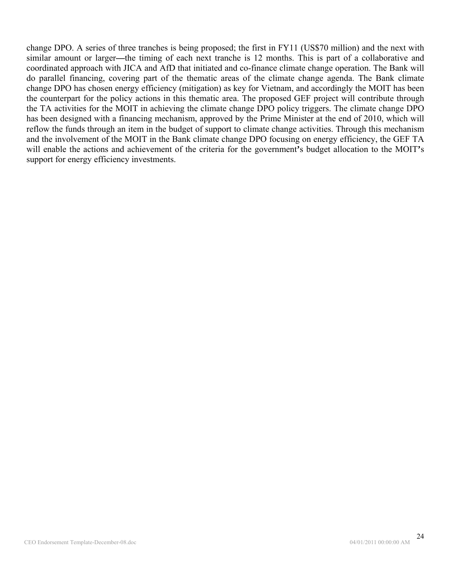change DPO. A series of three tranches is being proposed; the first in FY11 (US\$70 million) and the next with similar amount or larger**—**the timing of each next tranche is 12 months. This is part of a collaborative and coordinated approach with JICA and AfD that initiated and co-finance climate change operation. The Bank will do parallel financing, covering part of the thematic areas of the climate change agenda. The Bank climate change DPO has chosen energy efficiency (mitigation) as key for Vietnam, and accordingly the MOIT has been the counterpart for the policy actions in this thematic area. The proposed GEF project will contribute through the TA activities for the MOIT in achieving the climate change DPO policy triggers. The climate change DPO has been designed with a financing mechanism, approved by the Prime Minister at the end of 2010, which will reflow the funds through an item in the budget of support to climate change activities. Through this mechanism and the involvement of the MOIT in the Bank climate change DPO focusing on energy efficiency, the GEF TA will enable the actions and achievement of the criteria for the government**'**s budget allocation to the MOIT**'**s support for energy efficiency investments.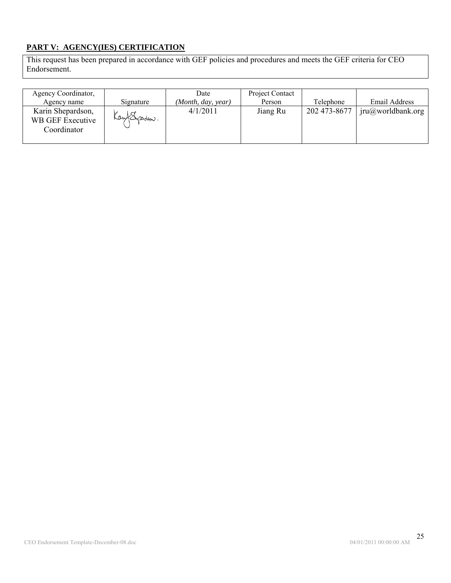# **PART V: AGENCY(IES) CERTIFICATION**

This request has been prepared in accordance with GEF policies and procedures and meets the GEF criteria for CEO Endorsement.

| Agency Coordinator,<br>Agency name                   | Signature       | Date<br>(Month, day, year) | Project Contact<br>Person | Telephone    | Email Address    |
|------------------------------------------------------|-----------------|----------------------------|---------------------------|--------------|------------------|
| Karin Shepardson,<br>WB GEF Executive<br>Coordinator | Kay (Sysadson). | 4/1/2011                   | Jiang Ru                  | 202 473-8677 | jru@wordbank.org |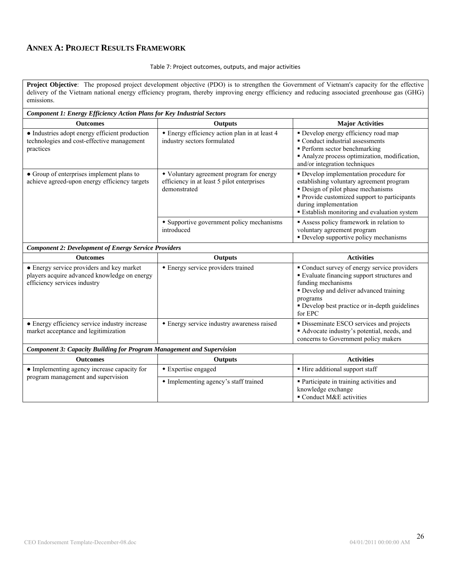## **ANNEX A: PROJECT RESULTS FRAMEWORK**

#### Table 7: Project outcomes, outputs, and major activities

**Project Objective**: The proposed project development objective (PDO) is to strengthen the Government of Vietnam's capacity for the effective delivery of the Vietnam national energy efficiency program, thereby improving energy efficiency and reducing associated greenhouse gas (GHG) emissions.

| <b>Component 1: Energy Efficiency Action Plans for Key Industrial Sectors</b>                                             |                                                                                                        |                                                                                                                                                                                                                                                        |  |  |  |  |  |
|---------------------------------------------------------------------------------------------------------------------------|--------------------------------------------------------------------------------------------------------|--------------------------------------------------------------------------------------------------------------------------------------------------------------------------------------------------------------------------------------------------------|--|--|--|--|--|
| <b>Outcomes</b>                                                                                                           | Outputs                                                                                                | <b>Major Activities</b>                                                                                                                                                                                                                                |  |  |  |  |  |
| • Industries adopt energy efficient production<br>technologies and cost-effective management<br>practices                 | • Energy efficiency action plan in at least 4<br>industry sectors formulated                           | · Develop energy efficiency road map<br>• Conduct industrial assessments<br>• Perform sector benchmarking<br>Analyze process optimization, modification,<br>and/or integration techniques                                                              |  |  |  |  |  |
| • Group of enterprises implement plans to<br>achieve agreed-upon energy efficiency targets                                | • Voluntary agreement program for energy<br>efficiency in at least 5 pilot enterprises<br>demonstrated | • Develop implementation procedure for<br>establishing voluntary agreement program<br>• Design of pilot phase mechanisms<br>• Provide customized support to participants<br>during implementation<br><b>Establish monitoring and evaluation system</b> |  |  |  |  |  |
|                                                                                                                           | • Supportive government policy mechanisms<br>introduced                                                | Assess policy framework in relation to<br>voluntary agreement program<br>• Develop supportive policy mechanisms                                                                                                                                        |  |  |  |  |  |
| <b>Component 2: Development of Energy Service Providers</b>                                                               |                                                                                                        |                                                                                                                                                                                                                                                        |  |  |  |  |  |
| <b>Outcomes</b>                                                                                                           | Outputs                                                                                                | <b>Activities</b>                                                                                                                                                                                                                                      |  |  |  |  |  |
| • Energy service providers and key market<br>players acquire advanced knowledge on energy<br>efficiency services industry | • Energy service providers trained                                                                     | Conduct survey of energy service providers<br><b>Evaluate financing support structures and</b><br>funding mechanisms<br>• Develop and deliver advanced training<br>programs<br>• Develop best practice or in-depth guidelines<br>for EPC               |  |  |  |  |  |
| • Energy efficiency service industry increase<br>market acceptance and legitimization                                     | • Energy service industry awareness raised                                                             | · Disseminate ESCO services and projects<br>Advocate industry's potential, needs, and<br>concerns to Government policy makers                                                                                                                          |  |  |  |  |  |
| Component 3: Capacity Building for Program Management and Supervision                                                     |                                                                                                        |                                                                                                                                                                                                                                                        |  |  |  |  |  |
| <b>Outcomes</b>                                                                                                           | Outputs                                                                                                | <b>Activities</b>                                                                                                                                                                                                                                      |  |  |  |  |  |
| • Implementing agency increase capacity for                                                                               | • Expertise engaged                                                                                    | • Hire additional support staff                                                                                                                                                                                                                        |  |  |  |  |  |
| program management and supervision                                                                                        | • Implementing agency's staff trained                                                                  | • Participate in training activities and<br>knowledge exchange<br>Conduct M&E activities                                                                                                                                                               |  |  |  |  |  |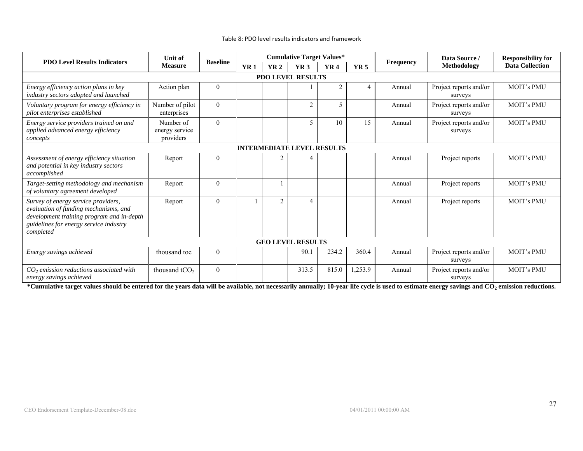| <b>PDO Level Results Indicators</b>                                                                                                                                              | <b>Unit of</b>                           | <b>Cumulative Target Values*</b><br><b>Baseline</b> |            |                |                                   | Data Source / | <b>Responsibility for</b> |                  |                                   |                        |
|----------------------------------------------------------------------------------------------------------------------------------------------------------------------------------|------------------------------------------|-----------------------------------------------------|------------|----------------|-----------------------------------|---------------|---------------------------|------------------|-----------------------------------|------------------------|
|                                                                                                                                                                                  | <b>Measure</b>                           |                                                     | <b>YR1</b> | <b>YR2</b>     | YR <sub>3</sub>                   | <b>YR4</b>    | <b>YR5</b>                | <b>Frequency</b> | Methodology                       | <b>Data Collection</b> |
| PDO LEVEL RESULTS                                                                                                                                                                |                                          |                                                     |            |                |                                   |               |                           |                  |                                   |                        |
| Energy efficiency action plans in key<br>industry sectors adopted and launched                                                                                                   | Action plan                              | $\theta$                                            |            |                |                                   | 2             |                           | Annual           | Project reports and/or<br>surveys | <b>MOIT's PMU</b>      |
| Voluntary program for energy efficiency in<br>pilot enterprises established                                                                                                      | Number of pilot<br>enterprises           | $\theta$                                            |            |                | $\overline{2}$                    | 5             |                           | Annual           | Project reports and/or<br>surveys | <b>MOIT's PMU</b>      |
| Energy service providers trained on and<br>applied advanced energy efficiency<br>concepts                                                                                        | Number of<br>energy service<br>providers | $\Omega$                                            |            |                | 5                                 | 10            | 15                        | Annual           | Project reports and/or<br>surveys | <b>MOIT's PMU</b>      |
|                                                                                                                                                                                  |                                          |                                                     |            |                | <b>INTERMEDIATE LEVEL RESULTS</b> |               |                           |                  |                                   |                        |
| Assessment of energy efficiency situation<br>and potential in key industry sectors<br>accomplished                                                                               | Report                                   | $\mathbf{0}$                                        |            | 2              |                                   |               |                           | Annual           | Project reports                   | <b>MOIT's PMU</b>      |
| Target-setting methodology and mechanism<br>of voluntary agreement developed                                                                                                     | Report                                   | $\theta$                                            |            |                |                                   |               |                           | Annual           | Project reports                   | <b>MOIT's PMU</b>      |
| Survey of energy service providers,<br>evaluation of funding mechanisms, and<br>development training program and in-depth<br>guidelines for energy service industry<br>completed | Report                                   | $\mathbf{0}$                                        |            | $\overline{c}$ | $\overline{4}$                    |               |                           | Annual           | Project reports                   | <b>MOIT's PMU</b>      |
|                                                                                                                                                                                  | <b>GEO LEVEL RESULTS</b>                 |                                                     |            |                |                                   |               |                           |                  |                                   |                        |
| Energy savings achieved                                                                                                                                                          | thousand toe                             | $\theta$                                            |            |                | 90.1                              | 234.2         | 360.4                     | Annual           | Project reports and/or<br>surveys | <b>MOIT's PMU</b>      |
| $CO2$ emission reductions associated with<br>energy savings achieved                                                                                                             | thousand $tCO2$                          | $\overline{0}$                                      |            |                | 313.5                             | 815.0         | 1,253.9                   | Annual           | Project reports and/or<br>surveys | <b>MOIT's PMU</b>      |

#### Table 8: PDO level results indicators and framework

**\*Cumulative target values should be entered for the years data will be available, not necessarily annually; 10-year life cycle is used to estimate energy savings and CO2 emission reductions.**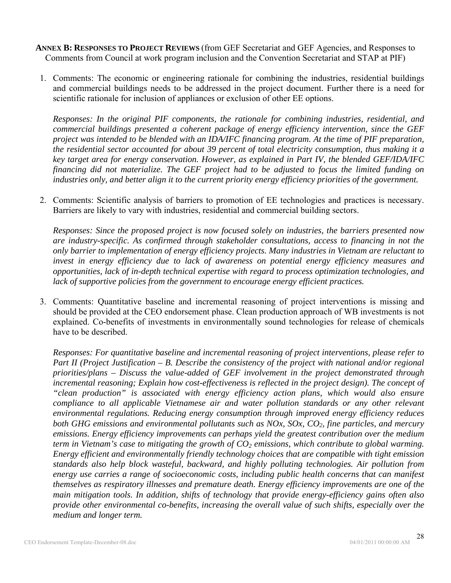- **ANNEX B: RESPONSES TO PROJECT REVIEWS** (from GEF Secretariat and GEF Agencies, and Responses to Comments from Council at work program inclusion and the Convention Secretariat and STAP at PIF)
	- 1. Comments: The economic or engineering rationale for combining the industries, residential buildings and commercial buildings needs to be addressed in the project document. Further there is a need for scientific rationale for inclusion of appliances or exclusion of other EE options.

*Responses: In the original PIF components, the rationale for combining industries, residential, and commercial buildings presented a coherent package of energy efficiency intervention, since the GEF project was intended to be blended with an IDA/IFC financing program. At the time of PIF preparation, the residential sector accounted for about 39 percent of total electricity consumption, thus making it a key target area for energy conservation. However, as explained in Part IV, the blended GEF/IDA/IFC financing did not materialize. The GEF project had to be adjusted to focus the limited funding on industries only, and better align it to the current priority energy efficiency priorities of the government.* 

2. Comments: Scientific analysis of barriers to promotion of EE technologies and practices is necessary. Barriers are likely to vary with industries, residential and commercial building sectors.

*Responses: Since the proposed project is now focused solely on industries, the barriers presented now are industry-specific. As confirmed through stakeholder consultations, access to financing in not the only barrier to implementation of energy efficiency projects. Many industries in Vietnam are reluctant to invest in energy efficiency due to lack of awareness on potential energy efficiency measures and opportunities, lack of in-depth technical expertise with regard to process optimization technologies, and lack of supportive policies from the government to encourage energy efficient practices.* 

3. Comments: Quantitative baseline and incremental reasoning of project interventions is missing and should be provided at the CEO endorsement phase. Clean production approach of WB investments is not explained. Co-benefits of investments in environmentally sound technologies for release of chemicals have to be described.

*Responses: For quantitative baseline and incremental reasoning of project interventions, please refer to Part II (Project Justification – B. Describe the consistency of the project with national and/or regional priorities/plans – Discuss the value-added of GEF involvement in the project demonstrated through incremental reasoning; Explain how cost-effectiveness is reflected in the project design). The concept of "clean production" is associated with energy efficiency action plans, which would also ensure compliance to all applicable Vietnamese air and water pollution standards or any other relevant environmental regulations. Reducing energy consumption through improved energy efficiency reduces both GHG emissions and environmental pollutants such as NOx, SOx, CO2, fine particles, and mercury emissions. Energy efficiency improvements can perhaps yield the greatest contribution over the medium term in Vietnam's case to mitigating the growth of CO<sub>2</sub> emissions, which contribute to global warming. Energy efficient and environmentally friendly technology choices that are compatible with tight emission standards also help block wasteful, backward, and highly polluting technologies. Air pollution from energy use carries a range of socioeconomic costs, including public health concerns that can manifest themselves as respiratory illnesses and premature death. Energy efficiency improvements are one of the main mitigation tools. In addition, shifts of technology that provide energy-efficiency gains often also provide other environmental co-benefits, increasing the overall value of such shifts, especially over the medium and longer term.*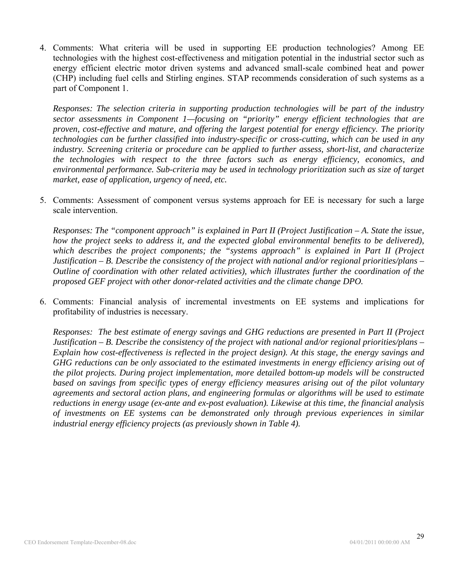4. Comments: What criteria will be used in supporting EE production technologies? Among EE technologies with the highest cost-effectiveness and mitigation potential in the industrial sector such as energy efficient electric motor driven systems and advanced small-scale combined heat and power (CHP) including fuel cells and Stirling engines. STAP recommends consideration of such systems as a part of Component 1.

*Responses: The selection criteria in supporting production technologies will be part of the industry sector assessments in Component 1—focusing on "priority" energy efficient technologies that are proven, cost-effective and mature, and offering the largest potential for energy efficiency. The priority technologies can be further classified into industry-specific or cross-cutting, which can be used in any industry. Screening criteria or procedure can be applied to further assess, short-list, and characterize the technologies with respect to the three factors such as energy efficiency, economics, and environmental performance. Sub-criteria may be used in technology prioritization such as size of target market, ease of application, urgency of need, etc.* 

5. Comments: Assessment of component versus systems approach for EE is necessary for such a large scale intervention.

*Responses: The "component approach" is explained in Part II (Project Justification – A. State the issue, how the project seeks to address it, and the expected global environmental benefits to be delivered), which describes the project components; the "systems approach" is explained in Part II (Project Justification – B. Describe the consistency of the project with national and/or regional priorities/plans – Outline of coordination with other related activities), which illustrates further the coordination of the proposed GEF project with other donor-related activities and the climate change DPO.* 

6. Comments: Financial analysis of incremental investments on EE systems and implications for profitability of industries is necessary.

*Responses: The best estimate of energy savings and GHG reductions are presented in Part II (Project Justification – B. Describe the consistency of the project with national and/or regional priorities/plans – Explain how cost-effectiveness is reflected in the project design). At this stage, the energy savings and GHG reductions can be only associated to the estimated investments in energy efficiency arising out of the pilot projects. During project implementation, more detailed bottom-up models will be constructed based on savings from specific types of energy efficiency measures arising out of the pilot voluntary agreements and sectoral action plans, and engineering formulas or algorithms will be used to estimate reductions in energy usage (ex-ante and ex-post evaluation). Likewise at this time, the financial analysis of investments on EE systems can be demonstrated only through previous experiences in similar industrial energy efficiency projects (as previously shown in Table 4).*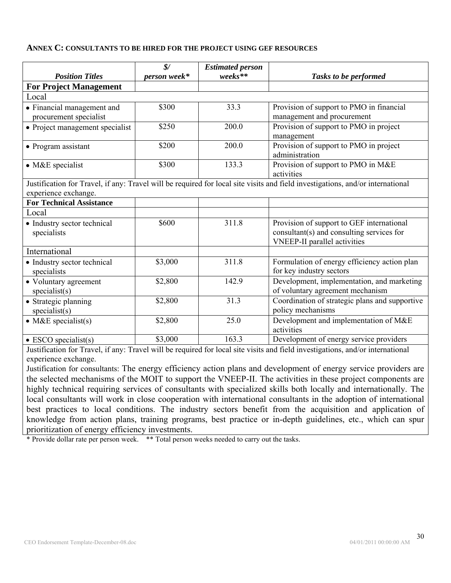#### **ANNEX C: CONSULTANTS TO BE HIRED FOR THE PROJECT USING GEF RESOURCES**

| <b>Position Titles</b>                               | $\frac{1}{2}$<br>person week* | <b>Estimated person</b><br>weeks** | Tasks to be performed                                                                                                          |
|------------------------------------------------------|-------------------------------|------------------------------------|--------------------------------------------------------------------------------------------------------------------------------|
| <b>For Project Management</b>                        |                               |                                    |                                                                                                                                |
| Local                                                |                               |                                    |                                                                                                                                |
| • Financial management and<br>procurement specialist | \$300                         | 33.3                               | Provision of support to PMO in financial<br>management and procurement                                                         |
| • Project management specialist                      | \$250                         | 200.0                              | Provision of support to PMO in project<br>management                                                                           |
| • Program assistant                                  | \$200                         | 200.0                              | Provision of support to PMO in project<br>administration                                                                       |
| $\bullet$ M&E specialist                             | \$300                         | 133.3                              | Provision of support to PMO in M&E<br>activities                                                                               |
| experience exchange.                                 |                               |                                    | Justification for Travel, if any: Travel will be required for local site visits and field investigations, and/or international |
| <b>For Technical Assistance</b>                      |                               |                                    |                                                                                                                                |
| Local                                                |                               |                                    |                                                                                                                                |
| • Industry sector technical<br>specialists           | \$600                         | 311.8                              | Provision of support to GEF international<br>consultant(s) and consulting services for<br><b>VNEEP-II</b> parallel activities  |
| International                                        |                               |                                    |                                                                                                                                |
| · Industry sector technical<br>specialists           | \$3,000                       | 311.8                              | Formulation of energy efficiency action plan<br>for key industry sectors                                                       |
| • Voluntary agreement<br>specialist(s)               | \$2,800                       | 142.9                              | Development, implementation, and marketing<br>of voluntary agreement mechanism                                                 |
| • Strategic planning<br>specialist(s)                | \$2,800                       | 31.3                               | Coordination of strategic plans and supportive<br>policy mechanisms                                                            |
| $\bullet$ M&E specialist(s)                          | \$2,800                       | 25.0                               | Development and implementation of M&E<br>activities                                                                            |
| $\bullet$ ESCO specialist(s)                         | \$3,000                       | 163.3                              | Development of energy service providers                                                                                        |

Justification for Travel, if any: Travel will be required for local site visits and field investigations, and/or international experience exchange.

Justification for consultants: The energy efficiency action plans and development of energy service providers are the selected mechanisms of the MOIT to support the VNEEP-II. The activities in these project components are highly technical requiring services of consultants with specialized skills both locally and internationally. The local consultants will work in close cooperation with international consultants in the adoption of international best practices to local conditions. The industry sectors benefit from the acquisition and application of knowledge from action plans, training programs, best practice or in-depth guidelines, etc., which can spur prioritization of energy efficiency investments.

\* Provide dollar rate per person week. \*\* Total person weeks needed to carry out the tasks.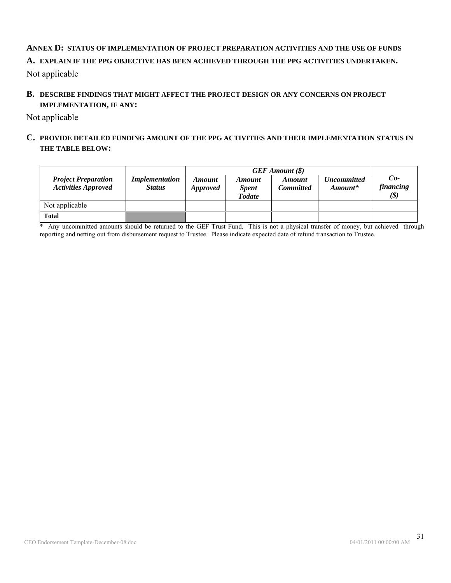# **ANNEX D: STATUS OF IMPLEMENTATION OF PROJECT PREPARATION ACTIVITIES AND THE USE OF FUNDS A. EXPLAIN IF THE PPG OBJECTIVE HAS BEEN ACHIEVED THROUGH THE PPG ACTIVITIES UNDERTAKEN.**

Not applicable

# **B. DESCRIBE FINDINGS THAT MIGHT AFFECT THE PROJECT DESIGN OR ANY CONCERNS ON PROJECT IMPLEMENTATION, IF ANY:**

Not applicable

## **C. PROVIDE DETAILED FUNDING AMOUNT OF THE PPG ACTIVITIES AND THEIR IMPLEMENTATION STATUS IN THE TABLE BELOW:**

| <b>Project Preparation</b><br><b>Activities Approved</b> | <i>Implementation</i><br><b>Status</b> | <b>Amount</b><br><i>Approved</i> | <b>Amount</b><br><b>Spent</b><br><b>Todate</b> | <b>Amount</b><br><b>Committed</b> | <b>Uncommitted</b><br>$A$ <i>mount</i> * | $Co-$<br><i>financing</i><br>$(\boldsymbol{\$})$ |
|----------------------------------------------------------|----------------------------------------|----------------------------------|------------------------------------------------|-----------------------------------|------------------------------------------|--------------------------------------------------|
| Not applicable                                           |                                        |                                  |                                                |                                   |                                          |                                                  |
| <b>Total</b>                                             |                                        |                                  |                                                |                                   |                                          |                                                  |

Any uncommitted amounts should be returned to the GEF Trust Fund. This is not a physical transfer of money, but achieved through reporting and netting out from disbursement request to Trustee. Please indicate expected date of refund transaction to Trustee.